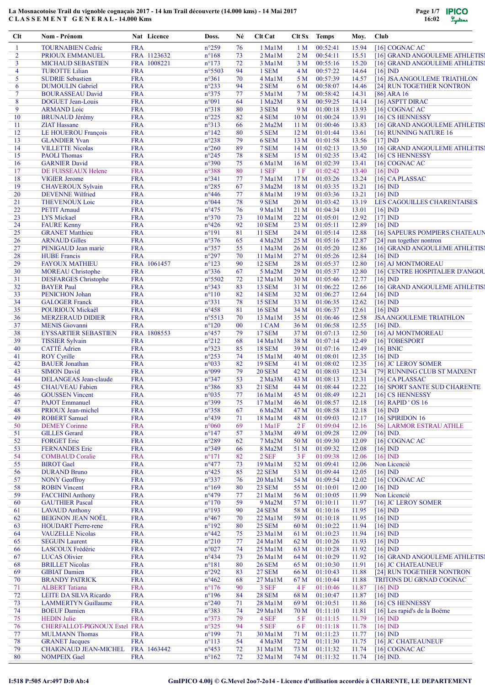

| Clt      | Nom - Prénom                                        |                          | Nat Licence | Doss.                            | Né       | Clt Cat          | Clt Sx                | <b>Temps</b>         | Moy.           | Club                                    |
|----------|-----------------------------------------------------|--------------------------|-------------|----------------------------------|----------|------------------|-----------------------|----------------------|----------------|-----------------------------------------|
| -1       | <b>TOURNABIEN Cedric</b>                            | <b>FRA</b>               |             | $n^{\circ}259$                   | 76       | 1 Ma1M           | 1 <sub>M</sub>        | 00:52:41             | 15.94          | [16] COGNAC AC                          |
| 2        | PRIOUX EMMANUEL                                     |                          | FRA 1123632 | $n^{\circ}168$                   | 73       | $2$ Ma $1$ M     | 2 <sub>M</sub>        | 00:54:11             | 15.51          | [16] GRAND ANGOULEME ATHLETIS!          |
| 3        | <b>MICHAUD SEBASTIEN</b>                            |                          | FRA 1008221 | $n^{\circ}173$                   | 72       | 3 Ma1M           | 3 M                   | 00:55:16             | 15.20          | [16] GRAND ANGOULEME ATHLETIS!          |
| 4        | <b>TUROTTE Lilian</b>                               | <b>FRA</b>               |             | n°5503                           | 94       | 1 SEM            | 4 M                   | 00:57:22             | 14.64          | $[16]$ ND                               |
| 5        | <b>SUDRIE Sebastien</b>                             | <b>FRA</b>               |             | $n^{\circ}361$                   | 70       | 4 MalM           | 5 M                   | 00:57:39             | 14.57          | [16] JSA ANGOULEME TRIATHLON            |
| 6        | <b>DUMOULIN</b> Gabriel                             | <b>FRA</b>               |             | $n^{\circ}233$                   | 94       | 2 SEM            | 6 M                   | 00:58:07             | 14.46          | [24] RUN TOGETHER NONTRON               |
| $\tau$   | <b>BOURASSEAU David</b>                             | <b>FRA</b>               |             | n°375                            | 77       | 5 Ma1M           | 7 M                   | 00:58:42             | 14.31          | $[86]$ ARA 16                           |
| 8        | DOGUET Jean-Louis                                   | <b>FRA</b>               |             | n°091                            | 64       | $1$ Ma2M         | 8 M                   | 00:59:25             | 14.14          | [16] ASPTT DIRAC                        |
| 9        | <b>ARMAND</b> Loic                                  | <b>FRA</b>               |             | n°318                            | 80       | 3 SEM            | 9 M                   | 01:00:18             | 13.93          | $[16]$ COGNAC AC                        |
| 10       | <b>BRUNAUD Jérémy</b>                               | <b>FRA</b>               |             | $n^{\circ}225$                   | 82       | 4 SEM            | 10 <sub>M</sub>       | 01:00:24             | 13.91          | [16] CS HENNESSY                        |
| 11       | <b>ZIAT Hassane</b>                                 | <b>FRA</b>               |             | $n^{\circ}313$                   | 66       | 2 Ma2M           | 11 <sub>M</sub>       | 01:00:46             | 13.83          | [16] GRAND ANGOULEME ATHLETIS]          |
| 12       | LE HOUEROU François                                 | <b>FRA</b>               |             | $n^{\circ}142$                   | 80       | 5 SEM            | 12 <sub>M</sub>       | 01:01:44             | 13.61          | [16] RUNNING NATURE 16                  |
| 13       | <b>GLANDIER Yvan</b>                                | <b>FRA</b>               |             | $n^{\circ}238$                   | 79       | 6 SEM            | 13 M                  | 01:01:58             | 13.56          | $[17]$ IND                              |
| 14       | <b>VILLETTE Nicolas</b>                             | <b>FRA</b>               |             | $n^{\circ}260$                   | 89       | 7 SEM            | 14M                   | 01:02:13             | 13.50          | [16] GRAND ANGOULEME ATHLETIS]          |
| 15       | <b>PAOLI</b> Thomas                                 | <b>FRA</b>               |             | $n^{\circ}245$                   | 78       | 8 SEM            | 15 M                  | 01:02:35             | 13.42          | [16] CS HENNESSY                        |
| 16       | <b>GARNIER David</b>                                | <b>FRA</b>               |             | n°390                            | 75       | 6 Ma1M           | 16 <sub>M</sub>       | 01:02:39             | 13.41          | $[16]$ COGNAC AC                        |
| 17<br>18 | DE FUISSEAUX Helene                                 | <b>FRA</b><br><b>FRA</b> |             | $n^{\circ}388$<br>$n^{\circ}341$ | 80       | 1 SEF<br>7 Ma1M  | 1F<br>17 <sub>M</sub> | 01:02:42<br>01:03:26 | 13.40<br>13.24 | $[16]$ ND<br>[16] CAPLASSAC             |
| 19       | <b>VIGIER Jerome</b>                                | <b>FRA</b>               |             | $n^{\circ}285$                   | 77<br>67 | 3 Ma2M           | 18 M                  | 01:03:35             | 13.21          |                                         |
| 20       | <b>CHAVEROUX Sylvain</b><br><b>DEVENNE Wilfried</b> | <b>FRA</b>               |             | $n^{\circ}446$                   | 77       | 8 Ma1M           | 19 <sub>M</sub>       | 01:03:36             | 13.21          | $[16]$ ND<br>$[16]$ ND                  |
| 21       | <b>THEVENOUX Loic</b>                               | <b>FRA</b>               |             | n°044                            | 78       | 9 SEM            | 20 M                  | 01:03:42             | 13.19          | LES CAGOUILLES CHARENTAISES             |
| 22       | <b>PETIT Amaud</b>                                  | <b>FRA</b>               |             | $n^{\circ}475$                   | 76       | 9 Ma1M           | 21 M                  | 01:04:34             | 13.01          | $[16]$ IND                              |
| 23       | <b>LYS Mickael</b>                                  | <b>FRA</b>               |             | $n^{\circ}370$                   | 73       | 10 Ma1M          | 22 M                  | 01:05:01             | 12.92          | $[17]$ IND                              |
| 24       | <b>FAURE Kenny</b>                                  | <b>FRA</b>               |             | $n^{\circ}426$                   | 92       | <b>10 SEM</b>    | 23 M                  | 01:05:11             | 12.89          | $[16]$ ND                               |
| 25       | <b>GRANET Matthieu</b>                              | <b>FRA</b>               |             | $n^{\circ}191$                   | 81       | <b>11 SEM</b>    | 24 M                  | 01:05:14             | 12.88          | [16] SAPEURS POMPIERS CHATEAUN          |
| 26       | <b>ARNAUD Gilles</b>                                | <b>FRA</b>               |             | $n^{\circ}376$                   | 65       | 4 Ma2M           | 25 M                  | 01:05:16             | 12.87          | [24] run together nontron               |
| 27       | PENIGAUD Jean marie                                 | <b>FRA</b>               |             | n°357                            | 55       | $1$ Ma $3M$      | 26 M                  | 01:05:20             | 12.86          | [16] GRAND ANGOULEME ATHLETIS!          |
| 28       | <b>HUBE</b> Francis                                 | <b>FRA</b>               |             | $n^{\circ}297$                   | 70       | 11 MalM          | 27 M                  | 01:05:26             | 12.84          | $[16]$ ND                               |
| 29       | <b>FAYOUX MATHIEU</b>                               |                          | FRA 1061457 | $n^{\circ}123$                   | 90       | <b>12 SEM</b>    | 28 M                  | 01:05:37             | 12.80          | [16] AJ MONTMOREAU                      |
| 30       | <b>MOREAU</b> Christophe                            | <b>FRA</b>               |             | n°336                            | 67       | 5 Ma2M           | 29 M                  | 01:05:37             | 12.80          | [16] CENTRE HOSPITALIER D'ANGOU         |
| 31       | <b>DESFARGES</b> Christophe                         | <b>FRA</b>               |             | n°5502                           | 72       | $12$ Ma $1$ M    | 30 M                  | 01:05:46             | 12.77          | $[16]$ ND                               |
| 32       | <b>BAYER Paul</b>                                   | <b>FRA</b>               |             | $n^{\circ}343$                   | 83       | <b>13 SEM</b>    | 31 M                  | 01:06:22             | 12.66          | [16] GRAND ANGOULEME ATHLETIS]          |
| 33       | <b>PENICHON Johan</b>                               | <b>FRA</b>               |             | $n^{\circ}110$                   | 82       | 14 SEM           | 32 M                  | 01:06:27             | 12.64          | $[16]$ ND                               |
| 34       | <b>GALOGER Franck</b>                               | <b>FRA</b>               |             | n°331                            | 78       | <b>15 SEM</b>    | 33 M                  | 01:06:35             | 12.62          | $[16]$ IND                              |
| 35       | POURIOUX Mickaël                                    | <b>FRA</b>               |             | $n^{\circ}458$                   | 81       | <b>16 SEM</b>    | 34 M                  | 01:06:37             | 12.61          | $[16]$ ND                               |
| 36       | <b>MERZERAUD DIDIER</b>                             | <b>FRA</b>               |             | n°5513                           | 70       | 13 MalM          | 35 M                  | 01:06:46             | 12.58          | <b>JSA ANGOULEME TRIATHLON</b>          |
| 37       | <b>MENIS</b> Giovanni                               | <b>FRA</b>               |             | $n^{\circ}120$                   | 00       | 1 CAM            | 36 M                  | 01:06:58             | 12.55          | $[16]$ IND.                             |
| 38       | <b>EYSSARTIER SEBASTIEN</b>                         |                          | FRA 1808553 | $n^{\circ}457$                   | 79       | <b>17 SEM</b>    | 37 M                  | 01:07:13             | 12.50          | [16] AJ MONTMOREAU                      |
| 39       | <b>TISSIER Sylvain</b>                              | <b>FRA</b>               |             | $n^{\circ}212$                   | 68       | $14$ Ma $1$ M    | 38 M                  | 01:07:14             | 12.49          | [16] TOBESPORT                          |
| 40       | <b>CATTÉ</b> Adrien                                 | <b>FRA</b>               |             | n°323                            | 85       | <b>18 SEM</b>    | 39 M                  | 01:07:16             | 12.49          | $[16]$ BNIC                             |
| 41       | <b>ROY Cyrille</b>                                  | <b>FRA</b>               |             | $n^{\circ}253$                   | 74       | 15 Ma1M          | 40 M                  | 01:08:01             | 12.35          | $[16]$ IND                              |
| 42       | <b>BAUER</b> Jonathan                               | <b>FRA</b>               |             | n°033                            | 82       | <b>19 SEM</b>    | 41 M                  | 01:08:02             | 12.35          | [16] JC LEROY SOMER                     |
| 43       | <b>SIMON David</b>                                  | <b>FRA</b>               |             | n°099                            | 79       | <b>20 SEM</b>    | 42 M                  | 01:08:03             | 12.34          | [79] RUNNING CLUB ST MAIXENT            |
| 44       | DELANGEAS Jean-claude                               | <b>FRA</b>               |             | n°347                            | 53       | 2 Ma3M           | 43 M                  | 01:08:13             | 12.31          | $[16]$ CAPLASSAC                        |
| 45       | <b>CHAUVEAU Fabien</b>                              | <b>FRA</b>               |             | $n^{\circ}386$                   | 83       | <b>21 SEM</b>    | 44 M                  | 01:08:44             | 12.22          | [16] SPORT SANTE SUD CHARENTE           |
| 46       | <b>GOUSSEN Vincent</b>                              | <b>FRA</b>               |             | $n^{\circ}035$                   | 77       | $16$ Ma $1$ M    | 45 M                  | 01:08:49             | 12.21          | [16] CS HENNESSY                        |
| 47       | <b>PAJOT</b> Emmanuel                               | <b>FRA</b>               |             | n°399                            | 75       | 17 Ma1M          | 46 M                  | 01:08:57             | 12.18          | [16] RAPID ' OS 16                      |
| 48       | PRIOUX Jean-michel                                  | <b>FRA</b>               |             | n°358                            | 67       | 6 Ma2M           | 47 M                  | 01:08:58             | 12.18          | $[16]$ ND                               |
| 49       | <b>ROBERT</b> Samuel                                | <b>FRA</b>               |             | n°439                            | 71       | 18 Ma1M          | 48 M                  | 01:09:03             | 12.17          | [16] SPIRIDON $16$                      |
| 50<br>51 | <b>DEMEY Corinne</b>                                | <b>FRA</b><br><b>FRA</b> |             | $n^{\circ}060$                   | 69       | $1$ Ma $1$ F     | 2F<br>49 M            | 01:09:04<br>01:09:28 | 12.16          | [56] LARMOR ESTRAU ATHLE<br>$[16]$ IND. |
|          | <b>GILLES</b> Gerard<br><b>FORGET Eric</b>          |                          |             | $n^{\circ}$ 147                  | 57       | 3 Ma3M           |                       |                      | 12.09          |                                         |
| 52<br>53 | <b>FERNANDES Eric</b>                               | <b>FRA</b><br><b>FRA</b> |             | $n^{\circ}289$<br>n°349          | 62<br>66 | 7 Ma2M<br>8 Ma2M | 50 M<br>51 M          | 01:09:30<br>01:09:32 | 12.09<br>12.08 | [16] COGNAC AC<br>$[16]$ ND             |
| 54       | <b>COMBAUD Coralie</b>                              | <b>FRA</b>               |             | $n^{\circ}171$                   | 82       | 2 SEF            | 3F                    | 01:09:38             | 12.06          | $[16]$ IND                              |
| 55       | <b>BIROT</b> Gael                                   | <b>FRA</b>               |             | $n^{\circ}477$                   | 73       | $19$ Ma $1$ M    | 52 M                  | 01:09:41             | 12.06          | Non Licencié                            |
| 56       | <b>DURAND Bruno</b>                                 | <b>FRA</b>               |             | $n^{\circ}425$                   | 85       | <b>22 SEM</b>    | 53 M                  | 01:09:44             | 12.05          | $[16]$ IND                              |
| 57       | <b>NONY</b> Geoffroy                                | <b>FRA</b>               |             | n°337                            | 76       | $20$ Ma $1$ M    | 54 M                  | 01:09:54             | 12.02          | $[16]$ COGNAC AC                        |
| 58       | <b>ROBIN Vincent</b>                                | <b>FRA</b>               |             | $n^{\circ}169$                   | 80       | <b>23 SEM</b>    | 55 M                  | 01:10:01             | 12.00          | $[16]$ IND                              |
| 59       | <b>FACCHINI Anthony</b>                             | <b>FRA</b>               |             | $n^{\circ}479$                   | 77       | 21 Ma1M          | 56 M                  | 01:10:05             | 11.99          | Non Licencié                            |
| 60       | <b>GAUTHIER Pascal</b>                              | <b>FRA</b>               |             | $n^{\circ}170$                   | 59       | 9 Ma2M           | 57 M                  | 01:10:11             | 11.97          | [16] JC LEROY SOMER                     |
| 61       | <b>LAVAUD Anthony</b>                               | <b>FRA</b>               |             | $n^{\circ}193$                   | 90       | <b>24 SEM</b>    | 58 M                  | 01:10:16             | 11.95          | $[16]$ IND                              |
| 62       | <b>BEIGNON JEAN NOËL</b>                            | <b>FRA</b>               |             | $n^{\circ}467$                   | 70       | $22$ Ma $1$ M    | 59 M                  | 01:10:18             | 11.95          | $[16]$ $ND$                             |
| 63       | <b>HOUDART</b> Pierre-rene                          | <b>FRA</b>               |             | $n^{\circ}192$                   | 80       | <b>25 SEM</b>    | 60 M                  | 01:10:22             | 11.94          | $[16]$ IND                              |
| 64       | <b>VAUZELLE Nicolas</b>                             | <b>FRA</b>               |             | $n^{\circ}442$                   | 75       | 23 Ma1M          | 61 M                  | 01:10:23             | 11.94          | $[16]$ ND                               |
| 65       | <b>SEGUIN Laurent</b>                               | <b>FRA</b>               |             | $n^{\circ}210$                   | 77       | $24$ Ma $1$ M    | 62 M                  | 01:10:26             | 11.93          | $[16]$ ND                               |
| 66       | LASCOUX Frédéric                                    | <b>FRA</b>               |             | n°027                            | 74       | 25 Ma1M          | 63 M                  | 01:10:28             | 11.92          | $[16]$ ND                               |
| 67       | <b>LUCAS</b> Olivier                                | <b>FRA</b>               |             | $n^{\circ}434$                   | 73       | 26 Ma1M          | 64 M                  | 01:10:29             | 11.92          | [16] GRAND ANGOULEME ATHLETIS]          |
| 68       | <b>BRILLET Nicolas</b>                              | <b>FRA</b>               |             | $n^{\circ}181$                   | 80       | <b>26 SEM</b>    | 65 M                  | 01:10:30             | 11.91          | [16] JC CHATEAUNEUF                     |
| 69       | <b>GIBIAT</b> Damien                                | <b>FRA</b>               |             | $n^{\circ}292$                   | 83       | <b>27 SEM</b>    | 66 M                  | 01:10:43             | 11.88          | [24] RUN TOGETHER NONTRON               |
| 70       | <b>BRANDY PATRICK</b>                               | <b>FRA</b>               |             | $n^{\circ}462$                   | 68       | $27$ Ma $1$ M    | 67 M                  | 01:10:44             | 11.88          | TRITONS DU GRNAD COGNAC                 |
| 71       | <b>ALBERT</b> Tatiana                               | <b>FRA</b>               |             | $n^{\circ}176$                   | 90       | 3 SEF            | 4 F                   | 01:10:46             | 11.87          | $[16]$ ND                               |
| 72       | LEITE DA SILVA Ricardo                              | <b>FRA</b>               |             | $n^{\circ}196$                   | 84       | <b>28 SEM</b>    | 68 M                  | 01:10:47             | 11.87          | $[16]$ IND                              |
| 73       | <b>LAMMERTYN</b> Guillaume                          | <b>FRA</b>               |             | $n^{\circ}240$                   | 71       | 28 Ma1M          | 69 M                  | 01:10:51             | 11.86          | [16] CS HENNESSY                        |
| 74       | <b>BOEUF Damien</b>                                 | <b>FRA</b>               |             | n°383                            | 74       | 29 MalM          | 70 M                  | 01:11:10             | 11.81          | [16] Les rapid's de la Boëme            |
| 75       | <b>HEDIN Julie</b>                                  | <b>FRA</b>               |             | n°373                            | 79       | 4 SEF            | 5 F                   | 01:11:15             | 11.79          | $[16]$ IND                              |
| 76       | CHERFALLOT-PIGNOUX Estel FRA                        |                          |             | $n^{\circ}325$                   | 94       | 5 SEF            | 6 F                   | 01:11:18             | 11.78          | $[16]$ IND                              |
| 77       | <b>MULMANN Thomas</b>                               | <b>FRA</b>               |             | $n^{\circ}199$                   | 71       | 30 Ma1M          | 71 M                  | 01:11:23             | 11.77          | $[16]$ ND                               |
| 78       | <b>GRANET</b> Jacques                               | <b>FRA</b>               |             | $n^{\circ}113$                   | 54       | 4 Ma3M           | 72 M                  | 01:11:30             | 11.75          | [16] JC CHATEAUNEUF                     |
| 79       | <b>CHAIGNAUD JEAN-MICHEL</b>                        |                          | FRA 1463442 | $n^{\circ}453$                   | 72       | 31 Ma1M          | 73 M                  | 01:11:32             | 11.74          | [16] COGNAC AC                          |
| 80       | <b>NOMPEIX Gael</b>                                 | <b>FRA</b>               |             | $n^{\circ}162$                   | 72       | 32 MalM          | 74 M                  | 01:11:32             | 11.74          | $[16]$ ND.                              |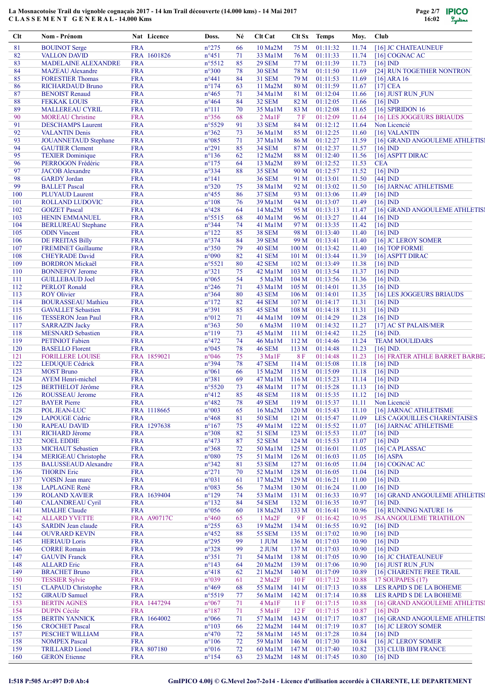

| Clt | Nom - Prénom                |            | Nat Licence | Doss.           | Né | Clt Cat               | Clt Sx           | <b>Temps</b>   | Moy.  | Club                           |
|-----|-----------------------------|------------|-------------|-----------------|----|-----------------------|------------------|----------------|-------|--------------------------------|
| 81  | <b>BOUINOT</b> Serge        | <b>FRA</b> |             | $n^{\circ}275$  | 66 | 10 Ma2M               | 75 M             | 01:11:32       | 11.74 | [16] JC CHATEAUNEUF            |
| 82  | <b>VALLON DAVID</b>         |            | FRA 1601826 | $n^{\circ}451$  | 71 | 33 MalM               | 76 M             | 01:11:33       | 11.74 | $[16]$ COGNAC AC               |
| 83  | <b>MADELAINE ALEXANDRE</b>  | <b>FRA</b> |             | $n^{\circ}5512$ | 85 | <b>29 SEM</b>         | 77 M             | 01:11:39       | 11.73 | $[16]$ IND                     |
| 84  | <b>MAZEAU</b> Alexandre     | <b>FRA</b> |             | $n^{\circ}300$  | 78 | <b>30 SEM</b>         | 78 M             | 01:11:50       | 11.69 | [24] RUN TOGETHER NONTRON      |
| 85  | <b>FORESTIER Thomas</b>     | <b>FRA</b> |             | $n^{\circ}441$  | 84 | <b>31 SEM</b>         | 79 M             | 01:11:53       | 11.69 | $[16]$ ARA $16$                |
| 86  | <b>RICHARDAUD Bruno</b>     | <b>FRA</b> |             | $n^{\circ}174$  | 63 | $11$ Ma2M             | 80 M             | 01:11:59       | 11.67 | $[17]$ CEA                     |
| 87  | <b>BENOIST Renaud</b>       | <b>FRA</b> |             | $n^{\circ}465$  | 71 | 34 Ma1M               | 81 M             | 01:12:04       | 11.66 | [16] JUST RUN_FUN              |
| 88  | <b>FEKKAK LOUIS</b>         | <b>FRA</b> |             | $n^{\circ}464$  | 84 | 32 SEM                | 82 M             | 01:12:05       | 11.66 | $[16]$ IND                     |
| 89  | <b>MALLEREAU CYRIL</b>      | <b>FRA</b> |             | $n^{\circ}111$  | 70 | 35 MalM               | 83 M             | 01:12:08       | 11.65 | $[16]$ SPIRIDON 16             |
| 90  | <b>MOREAU</b> Christine     | <b>FRA</b> |             | $n^{\circ}356$  | 68 | $2$ Ma <sub>1</sub> F | 7 F              | 01:12:09       | 11.64 | [16] LES JOGGEURS BRIAUDS      |
| 91  |                             | <b>FRA</b> |             | n°5529          | 91 | 33 SEM                | 84 M             | 01:12:12       | 11.64 | Non Licencié                   |
|     | <b>DESCHAMPS Laurent</b>    |            |             | $n^{\circ}362$  | 73 |                       |                  |                |       |                                |
| 92  | <b>VALANTIN Denis</b>       | <b>FRA</b> |             |                 |    | 36 Ma1M               | 85 M             | 01:12:25       | 11.60 | [16] VALANTIN                  |
| 93  | <b>JOUANNETAUD Stephane</b> | <b>FRA</b> |             | $n^{\circ}085$  | 71 | 37 MalM               | 86 M             | 01:12:27       | 11.59 | [16] GRAND ANGOULEME ATHLETIS] |
| 94  | <b>GAUTIER Clement</b>      | <b>FRA</b> |             | $n^{\circ}291$  | 85 | <b>34 SEM</b>         | 87 M             | 01:12:37       | 11.57 | $[16]$ IND                     |
| 95  | <b>TEXIER Dominique</b>     | <b>FRA</b> |             | $n^{\circ}136$  | 62 | 12 Ma2M               | 88 M             | 01:12:40       | 11.56 | [16] ASPTT DIRAC               |
| 96  | PERROGON Frédéric           | <b>FRA</b> |             | $n^{\circ}175$  | 64 | 13 Ma2M               | 89 M             | 01:12:52       | 11.53 | <b>CEA</b>                     |
| 97  | <b>JACOB</b> Alexandre      | <b>FRA</b> |             | $n^{\circ}334$  | 88 | <b>35 SEM</b>         | 90 M             | 01:12:57       | 11.52 | $[16]$ ND                      |
| 98  | <b>GARDY</b> Jordan         | <b>FRA</b> |             | $n^{\circ}141$  |    | <b>36 SEM</b>         | 91 M             | 01:13:01       | 11.50 | $[44]$ IND                     |
| 99  | <b>BALLET</b> Pascal        | <b>FRA</b> |             | $n^{\circ}320$  | 75 | 38 MalM               | 92 M             | 01:13:02       | 11.50 | [16] JARNAC ATHLETISME         |
| 100 | PLUYAUD Laurent             | <b>FRA</b> |             | $n^{\circ}455$  | 86 | <b>37 SEM</b>         | 93 M             | 01:13:06       | 11.49 | $[16]$ ND                      |
| 101 | ROLLAND LUDOVIC             | <b>FRA</b> |             | $n^{\circ}108$  | 76 | 39 Ma1M               | 94 M             | 01:13:07       | 11.49 | $[16]$ $ND$                    |
| 102 | <b>GOIZET</b> Pascal        | <b>FRA</b> |             | $n^{\circ}428$  | 64 | 14 Ma2M               | 95 M             | 01:13:13       | 11.47 | [16] GRAND ANGOULEME ATHLETIS] |
| 103 | <b>HENIN EMMANUEL</b>       | <b>FRA</b> |             | $n^{\circ}5515$ | 68 | $40$ Ma $1$ M         | 96 M             | 01:13:27       | 11.44 | $[16]$ ND                      |
| 104 | <b>BERLUREAU</b> Stephane   | <b>FRA</b> |             | $n^{\circ}344$  | 74 | 41 Ma1M               | 97 M             | 01:13:35       | 11.42 | $[16]$ IND                     |
| 105 | <b>ODIN</b> Vincent         | <b>FRA</b> |             | $n^{\circ}122$  | 85 | <b>38 SEM</b>         | 98 M             | 01:13:40       | 11.40 | $[16]$ IND                     |
| 106 | <b>DE FREITAS Billy</b>     | <b>FRA</b> |             | $n^{\circ}374$  | 84 | <b>39 SEM</b>         | 99 M             | 01:13:41       | 11.40 | [16] JC LEROY SOMER            |
|     |                             |            |             |                 |    |                       |                  |                |       |                                |
| 107 | <b>FREMINET Guillaume</b>   | <b>FRA</b> |             | $n^{\circ}350$  | 79 | <b>40 SEM</b>         | 100 M            | 01:13:42       | 11.40 | [16] TOP FORME                 |
| 108 | <b>CHEYRADE David</b>       | <b>FRA</b> |             | n°090           | 82 | 41 SEM                | 101 M            | 01:13:44       | 11.39 | [16] ASPTT DIRAC               |
| 109 | <b>BORDRON Mickaël</b>      | <b>FRA</b> |             | $n^{\circ}5521$ | 80 | 42 SEM                | 102 M            | 01:13:49       | 11.38 | $[16]$ IND                     |
| 110 | <b>BONNEFOY Jerome</b>      | <b>FRA</b> |             | $n^{\circ}321$  | 75 | 42 MalM               | 103 M            | 01:13:54       | 11.37 | $[16]$ IND                     |
| 111 | <b>GUILLEBAUD Joel</b>      | <b>FRA</b> |             | $n^{\circ}065$  | 54 | $5$ Ma $3$ M          | 104 <sub>M</sub> | 01:13:56       | 11.36 | $[16]$ IND.                    |
| 112 | <b>PERLOT Ronald</b>        | <b>FRA</b> |             | $n^{\circ}246$  | 71 | 43 Ma1M               | 105 <sub>M</sub> | 01:14:01       | 11.35 | $[16]$ IND                     |
| 113 | <b>ROY Olivier</b>          | <b>FRA</b> |             | $n^{\circ}364$  | 80 | 43 SEM                | 106 <sub>M</sub> | 01:14:01       | 11.35 | [16] LES JOGGEURS BRIAUDS      |
| 114 | <b>BOURASSEAU Mathieu</b>   | <b>FRA</b> |             | $n^{\circ}172$  | 82 | <b>44 SEM</b>         | 107 M            | 01:14:17       | 11.31 | $[16]$ ND                      |
| 115 | <b>GAVALLET</b> Sebastien   | <b>FRA</b> |             | n°391           | 85 | 45 SEM                | 108 M            | 01:14:18       | 11.31 | $[16]$ IND                     |
| 116 | <b>TESSERON</b> Jean Paul   | <b>FRA</b> |             | $n^{\circ}012$  | 71 | 44 Ma1M               | 109 M            | 01:14:29       | 11.28 | $[16]$ IND                     |
| 117 | <b>SARRAZIN Jacky</b>       | <b>FRA</b> |             | $n^{\circ}363$  | 50 | $6$ Ma $3$ M          | 110 M            | 01:14:32       | 11.27 | [17] AC ST PALAIS/MER          |
| 118 | <b>MESNARD</b> Sebastien    | <b>FRA</b> |             | $n^{\circ}119$  | 73 | 45 Ma1M               | 111M             | 01:14:42       | 11.25 | $[16]$ ND.                     |
|     |                             |            |             |                 |    |                       |                  |                |       |                                |
| 119 | <b>PETINIOT Fabien</b>      | <b>FRA</b> |             | $n^{\circ}472$  | 74 | 46 Ma1M               | 112M             | 01:14:46       | 11.24 | <b>TEAM MOULIDARS</b>          |
| 120 | <b>BASELLO</b> Florent      | <b>FRA</b> |             | $n^{\circ}045$  | 78 | <b>46 SEM</b>         | 113 M            | 01:14:48       | 11.23 | $[16]$ IND.                    |
| 121 | <b>FORILLERE LOUISE</b>     |            | FRA 1859021 | $n^{\circ}046$  | 75 | 3 Ma1F                | 8F               | 01:14:48       | 11.23 | [16] FRATER ATHLE BARRET BARBE |
| 122 | <b>LEDUQUE Cédrick</b>      | <b>FRA</b> |             | n°394           | 78 | 47 SEM                | 114M             | 01:15:08       | 11.18 | $[16]$ IND                     |
| 123 | <b>MOST Bruno</b>           | <b>FRA</b> |             | $n^{\circ}061$  | 66 | 15 Ma2M               | 115M             | 01:15:09       | 11.18 | $[16]$ ND                      |
| 124 | <b>AYEM Henri-michel</b>    | <b>FRA</b> |             | n°381           | 69 | 47 MalM               | 116M             | 01:15:23       | 11.14 | $[16]$ IND                     |
| 125 | <b>BERTHELOT Jérôme</b>     | <b>FRA</b> |             | $n^{\circ}5520$ | 73 | 48 Ma1M               | 117M             | 01:15:28       | 11.13 | $[16]$ ND                      |
| 126 | ROUSSEAU Jerome             | <b>FRA</b> |             | $n^{\circ}412$  | 85 | <b>48 SEM</b>         |                  | 118 M 01:15:35 |       | $11.12$ [16] IND               |
| 127 | <b>BAYER</b> Pierre         | <b>FRA</b> |             | $n^{\circ}482$  | 78 | 49 SEM                |                  | 119 M 01:15:37 | 11.11 | Non Licencié                   |
| 128 | POL JEAN-LUC                |            | FRA 1118665 | $n^{\circ}003$  | 65 | 16 Ma2M               | 120 M            | 01:15:43       | 11.10 | [16] JARNAC ATHLETISME         |
| 129 | LAPOUGE Cédric              | <b>FRA</b> |             | $n^{\circ}468$  | 81 | <b>50 SEM</b>         | 121 <sub>M</sub> | 01:15:47       | 11.09 | LES CAGOUILLES CHARENTAISES    |
| 130 | <b>RAPEAU DAVID</b>         |            | FRA 1297638 | $n^{\circ}167$  | 75 | 49 MalM               | 122 M            | 01:15:52       | 11.07 | [16] JARNAC ATHLETISME         |
| 131 |                             | <b>FRA</b> |             |                 |    | <b>51 SEM</b>         |                  |                |       | $[16]$ IND                     |
|     | <b>RICHARD Jérome</b>       |            |             | $n^{\circ}308$  | 82 |                       | 123M             | 01:15:53       | 11.07 |                                |
| 132 | <b>NOEL EDDIE</b>           | <b>FRA</b> |             | $n^{\circ}473$  | 87 | <b>52 SEM</b>         | 124 M            | 01:15:53       | 11.07 | $[16]$ ND                      |
| 133 | <b>MICHAUT</b> Sebastien    | <b>FRA</b> |             | $n^{\circ}368$  | 72 | 50 Ma1M               | 125 M            | 01:16:01       | 11.05 | [16] CAPLASSAC                 |
| 134 | <b>MERIGEAU</b> Christophe  | <b>FRA</b> |             | $n^{\circ}080$  | 75 | 51 MalM               | 126 <sub>M</sub> | 01:16:03       | 11.05 | $[16]$ ASPA                    |
| 135 | <b>BALUSSEAUD Alexandre</b> | <b>FRA</b> |             | $n^{\circ}342$  | 81 | 53 SEM                | 127 <sub>M</sub> | 01:16:05       | 11.04 | $[16]$ COGNAC AC               |
| 136 | <b>THORIN Eric</b>          | <b>FRA</b> |             | $n^{\circ}271$  | 70 | 52 Ma1M               | 128 M            | 01:16:05       | 11.04 | $[16]$ $ND$                    |
| 137 | <b>VOISIN</b> Jean marc     | <b>FRA</b> |             | $n^{\circ}031$  | 61 | 17 Ma2M               | 129 M            | 01:16:21       | 11.00 | $[16]$ IND.                    |
| 138 | <b>LAPLAGNE René</b>        | <b>FRA</b> |             | n°083           | 56 | $7$ Ma $3$ M          | 130 M            | 01:16:24       | 11.00 | $[16]$ IND                     |
| 139 | <b>ROLAND XAVIER</b>        |            | FRA 1639404 | $n^{\circ}129$  | 74 | 53 Ma1M               | 131 M            | 01:16:33       | 10.97 | [16] GRAND ANGOULEME ATHLETIS] |
| 140 | <b>CALANDREAU Cyril</b>     | <b>FRA</b> |             | $n^{\circ}132$  | 84 | <b>54 SEM</b>         | 132M             | 01:16:35       | 10.97 | $[16]$ IND.                    |
| 141 | <b>MIALHE Claude</b>        | <b>FRA</b> |             | $n^{\circ}056$  | 60 | 18 Ma2M               | 133 M            | 01:16:41       | 10.96 | [16] RUNNING NATURE 16         |
| 142 | <b>ALLARD YVETTE</b>        |            | FRA A90717C | $n^{\circ}460$  | 65 | 1 Ma <sub>2</sub> F   | 9F               | 01:16:42       | 10.95 | <b>JSA ANGOULEME TRIATHLON</b> |
| 143 | <b>SARDIN</b> Jean claude   | <b>FRA</b> |             | $n^{\circ}255$  | 63 | 19 Ma2M               | 134M             | 01:16:55       | 10.92 | $[16]$ IND                     |
| 144 | <b>OUVRARD KEVIN</b>        | <b>FRA</b> |             | $n^{\circ}452$  | 88 | <b>55 SEM</b>         | 135 M            | 01:17:02       | 10.90 | $[16]$ IND                     |
| 145 | <b>HERIAUD</b> Loris        | <b>FRA</b> |             | $n^{\circ}295$  | 99 | 1 JUM                 | 136 M            | 01:17:03       | 10.90 | $[16]$ IND                     |
| 146 | <b>CORRE Romain</b>         | <b>FRA</b> |             | $n^{\circ}328$  | 99 | 2 JUM                 | 137 M            | 01:17:03       | 10.90 | $[16]$ IND                     |
| 147 | <b>GAUVIN Franck</b>        | <b>FRA</b> |             | $n^{\circ}351$  | 71 | 54 Ma1M               | 138 <sub>M</sub> | 01:17:05       | 10.90 | [16] JC CHATEAUNEUF            |
| 148 | <b>ALLARD</b> Eric          | <b>FRA</b> |             | $n^{\circ}143$  | 64 | $20$ Ma2M             | 139 <sub>M</sub> | 01:17:06       | 10.90 | [16] JUST RUN FUN              |
|     |                             |            |             |                 |    |                       |                  |                |       |                                |
| 149 | <b>BRACHET Bruno</b>        | <b>FRA</b> |             | $n^{\circ}418$  | 62 | 21 Ma2M               | 140 <sub>M</sub> | 01:17:09       | 10.89 | [16] CHARENTE FREE TRAIL       |
| 150 | <b>TESSIER Sylvie</b>       | <b>FRA</b> |             | n°039           | 61 | 2 Ma <sub>2</sub> F   | 10F              | 01:17:12       | 10.88 | 17 SOUPAPES (17)               |
| 151 | <b>CLAPAUD</b> Christophe   | <b>FRA</b> |             | $n^{\circ}469$  | 68 | 55 Ma1M               | 141 M            | 01:17:13       | 10.88 | LES RAPID S DE LA BOHEME       |
| 152 | <b>GIRAUD Samuel</b>        | <b>FRA</b> |             | n°5519          | 77 | 56 Ma1M               | 142 M            | 01:17:14       | 10.88 | LES RAPID S DE LA BOHEME       |
| 153 | <b>BERTIN AGNES</b>         |            | FRA 1447294 | $n^{\circ}067$  | 71 | 4 Ma1F                | 11F              | 01:17:15       | 10.88 | [16] GRAND ANGOULEME ATHLETIS! |
| 154 | <b>DUPIN Cécile</b>         | <b>FRA</b> |             | $n^{\circ}187$  | 71 | 5 Ma1F                | 12F              | 01:17:15       | 10.87 | $[16]$ IND                     |
| 155 | <b>BERTIN YANNICK</b>       |            | FRA 1664002 | $n^{\circ}066$  | 71 | 57 Ma1M               | 143M             | 01:17:17       | 10.87 | [16] GRAND ANGOULEME ATHLETIS] |
| 156 | <b>CROCHET Pascal</b>       | <b>FRA</b> |             | $n^{\circ}103$  | 66 | 22 Ma2M               | 144 M            | 01:17:19       | 10.87 | [16] JC LEROY SOMER            |
| 157 | PESCHET WILLIAM             | <b>FRA</b> |             | $n^{\circ}470$  | 72 | 58 Ma1M               | 145 M            | 01:17:28       | 10.84 | $[16]$ IND                     |
| 158 | <b>NOMPEX Pascal</b>        | <b>FRA</b> |             | $n^{\circ}106$  | 72 | 59 Ma1M               | 146 M            | 01:17:30       | 10.84 | [16] JC LEROY SOMER            |
| 159 | <b>TRILLARD</b> Lionel      |            | FRA 807180  | $n^{\circ}016$  | 72 | 60 Ma1M               | 147 M            | 01:17:40       | 10.82 | [33] CLUB IBM FRANCE           |
| 160 | <b>GERON</b> Etienne        | <b>FRA</b> |             | $n^{\circ}154$  | 63 | $23$ Ma $2M$          | 148 M            | 01:17:45       | 10.80 | $[16]$ ND                      |
|     |                             |            |             |                 |    |                       |                  |                |       |                                |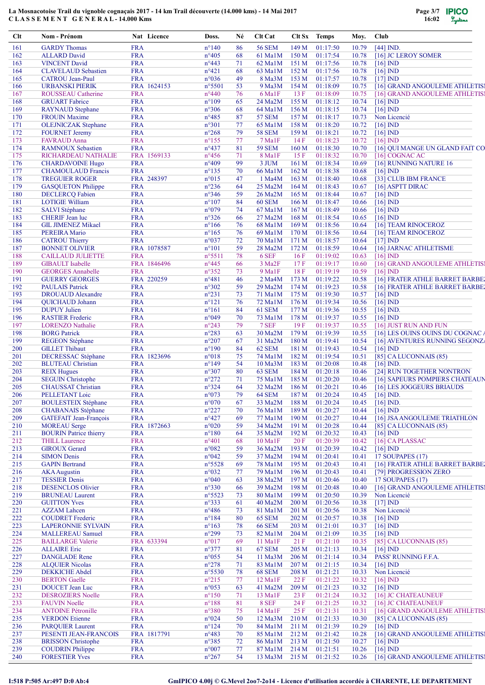

| Clt        | Nom - Prénom                                         |                          | Nat Licence | Doss.                            | Né       | Clt Cat                           |                  | Clt Sx Temps         | Moy.           | Club |                                                       |
|------------|------------------------------------------------------|--------------------------|-------------|----------------------------------|----------|-----------------------------------|------------------|----------------------|----------------|------|-------------------------------------------------------|
| 161        | <b>GARDY</b> Thomas                                  | <b>FRA</b>               |             | $n^{\circ}140$                   | 86       | 56 SEM                            | 149 M            | 01:17:50             | 10.79          |      | $[44]$ IND.                                           |
| 162        | <b>ALLARD</b> David                                  | <b>FRA</b>               |             | $n^{\circ}405$                   | 68       | 61 Ma1M                           | 150 M            | 01:17:54             | 10.78          |      | [16] JC LEROY SOMER                                   |
| 163        | <b>VINCENT David</b>                                 | <b>FRA</b>               |             | $n^{\circ}443$                   | 71       | 62 MalM                           | 151 M            | 01:17:56             | 10.78          |      | $[16]$ IND                                            |
| 164        | <b>CLAVELAUD</b> Sebastien                           | <b>FRA</b>               |             | $n^{\circ}421$                   | 68       | 63 Ma1M                           | 152 M            | 01:17:56             | 10.78          |      | $[16]$ IND                                            |
| 165        | <b>CATROU</b> Jean-Paul                              | <b>FRA</b>               |             | $n^{\circ}036$                   | 49       | 8 Ma3M                            | 153 M            | 01:17:57             | 10.78          |      | $[17]$ IND                                            |
| 166        | <b>URBANSKI PIERIK</b>                               |                          | FRA 1624153 | $n^{\circ}5501$                  | 53       | 9 Ma3M                            | 154M             | 01:18:09             | 10.75          |      | [16] GRAND ANGOULEME ATHLETIS!                        |
| 167        | ROUSSEAU Catherine                                   | <b>FRA</b><br><b>FRA</b> |             | $n^{\circ}440$                   | 76<br>65 | 6 Ma1F<br>24 Ma2M                 | 13F<br>155 M     | 01:18:09             | 10.75<br>10.74 |      | [16] GRAND ANGOULEME ATHLETIS!                        |
| 168<br>169 | <b>GRUART</b> Fabrice<br><b>RAYNAUD</b> Stephane     | <b>FRA</b>               |             | $n^{\circ}109$<br>$n^{\circ}306$ | 68       | 64 MalM                           | 156M             | 01:18:12<br>01:18:15 | 10.74          |      | $[16]$ IND<br>$[16]$ $\overline{ND}$                  |
| 170        | <b>FROUIN Maxime</b>                                 | <b>FRA</b>               |             | $n^{\circ}485$                   | 87       | <b>57 SEM</b>                     | 157 M            | 01:18:17             | 10.73          |      | Non Licencié                                          |
| 171        | <b>OLEJNICZAK</b> Stephane                           | <b>FRA</b>               |             | $n^{\circ}301$                   | 77       | 65 Ma1M                           | 158 M            | 01:18:20             | 10.72          |      | $[16]$ IND                                            |
| 172        | <b>FOURNET Jeremy</b>                                | <b>FRA</b>               |             | $n^{\circ}268$                   | 79       | <b>58 SEM</b>                     | 159 M            | 01:18:21             | 10.72          |      | $[16]$ IND                                            |
| 173        | <b>FAVRAUD</b> Anna                                  | <b>FRA</b>               |             | $n^{\circ}155$                   | 77       | 7 Ma1F                            | 14F              | 01:18:23             | 10.72          |      | $[16]$ IND                                            |
| 174        | <b>RAMNOUX Sebastien</b>                             | <b>FRA</b>               |             | $n^{\circ}437$                   | 81       | <b>59 SEM</b>                     | 160 M            | 01:18:30             | 10.70          |      | [16] OUI MANGE UN GLAND FAIT CO                       |
| 175        | RICHARDEAU NATHALIE                                  |                          | FRA 1569133 | $n^{\circ}456$                   | 71       | 8 MalF                            | 15F              | 01:18:32             | 10.70          |      | $[16]$ COGNAC AC                                      |
| 176        | <b>CHARDAVOINE Hugo</b>                              | <b>FRA</b>               |             | $n^{\circ}409$                   | 99       | 3 JUM                             | 161 M            | 01:18:34             | 10.69          |      | [16] RUNNING NATURE 16                                |
| 177        | <b>CHAMOULAUD Francis</b>                            | <b>FRA</b>               |             | $n^{\circ}135$                   | 70       | 66 Ma1M                           | 162 M            | 01:18:38             | 10.68          |      | $[16]$ IND                                            |
| 178        | <b>TREGUIER ROGER</b>                                |                          | FRA 248397  | $n^{\circ}015$                   | 47       | 1 Ma4M                            | 163 M            | 01:18:40             | 10.68          |      | [33] CLUB IBM FRANCE                                  |
| 179        | <b>GASQUETON Philippe</b>                            | <b>FRA</b>               |             | $n^{\circ}236$                   | 64       | 25 Ma2M                           | 164 M            | 01:18:43             | 10.67          |      | [16] ASPTT DIRAC                                      |
| 180        | <b>DECLERCQ Fabien</b>                               | <b>FRA</b>               |             | $n^{\circ}346$                   | 59       | $26$ Ma2M                         | 165 M            | 01:18:44             | 10.67          |      | $[16]$ IND                                            |
| 181        | <b>LOTIGIE William</b>                               | <b>FRA</b>               |             | $n^{\circ}107$                   | 84       | <b>60 SEM</b>                     | 166 M            | 01:18:47             | 10.66          |      | $[16]$ IND                                            |
| 182        | <b>SALVI</b> Stéphane                                | <b>FRA</b>               |             | n°079                            | 74       | 67 Ma1M                           | 167 <sub>M</sub> | 01:18:49             | 10.66          |      | $[16]$ ND                                             |
| 183        | <b>CHERIF</b> Jean luc                               | <b>FRA</b>               |             | $n^{\circ}326$                   | 66       | 27 Ma2M                           | 168 M            | 01:18:54             | 10.65          |      | $[16]$ IND                                            |
| 184        | <b>GIL JIMENEZ Mikael</b>                            | <b>FRA</b>               |             | $n^{\circ}166$                   | 76       | 68 Ma1M                           | 169 <sub>M</sub> | 01:18:56             | 10.64          |      | [16] TEAM RINOCEROZ                                   |
| 185        | <b>PEREIRA Mario</b>                                 | <b>FRA</b>               |             | $n^{\circ}165$                   | 76       | 69 Mal <sub>M</sub>               | 170 M            | 01:18:56             | 10.64          |      | [16] TEAM RINOCEROZ                                   |
| 186        | <b>CATROU Thierry</b>                                | <b>FRA</b>               |             | $n^{\circ}037$                   | 72       | 70 Ma1M                           | 171 M            | 01:18:57             | 10.64          |      | $[17]$ IND                                            |
| 187        | <b>BONNET OLIVIER</b>                                |                          | FRA 1078587 | $n^{\circ}101$                   | 59       | $28$ Ma $2M$                      | 172 M            | 01:18:59             | 10.64          |      | [16] JARNAC ATHLETISME                                |
| 188        | <b>CAILLAUD JULIETTE</b>                             | <b>FRA</b>               |             | $n^{\circ}5511$                  | 78       | 6 SEF                             | 16F              | 01:19:02             | 10.63          |      | $[16]$ IND                                            |
| 189<br>190 | <b>GIBAULT</b> Isabelle<br><b>GEORGES Annabelle</b>  | <b>FRA</b>               | FRA 1846496 | $n^{\circ}445$<br>$n^{\circ}352$ | 66<br>73 | 3 Ma <sub>2F</sub><br>9 Ma1F      | 17F<br>18F       | 01:19:17<br>01:19:19 | 10.60<br>10.59 |      | [16] GRAND ANGOULEME ATHLETIS!<br>$[16]$ IND          |
| 191        | <b>GUERRY GEORGES</b>                                |                          | FRA 220259  | $n^{\circ}481$                   | 46       | 2 Ma4M                            | 173 M            | 01:19:22             | 10.58          |      | [16] FRATER ATHLE BARRET BARBE                        |
| 192        | <b>PAULAIS Patrick</b>                               | <b>FRA</b>               |             | $n^{\circ}302$                   | 59       | 29 Ma2M                           | 174 M            | 01:19:23             | 10.58          |      | [16] FRATER ATHLE BARRET BARBE                        |
| 193        | <b>DROUAUD</b> Alexandre                             | <b>FRA</b>               |             | $n^{\circ}231$                   | 73       | 71 MalM                           | 175 M            | 01:19:30             | 10.57          |      | $[16]$ IND                                            |
| 194        | QUICHAUD Johann                                      | <b>FRA</b>               |             | $n^{\circ}121$                   | 76       | 72 Ma1M                           | 176M             | 01:19:34             | 10.56          |      | $[16]$ IND                                            |
| 195        | <b>DUPUY Julien</b>                                  | <b>FRA</b>               |             | $n^{\circ}161$                   | 84       | <b>61 SEM</b>                     | 177 M            | 01:19:36             | 10.55          |      | $[16]$ IND.                                           |
| 196        | <b>RASTIER Frederic</b>                              | <b>FRA</b>               |             | $n^{\circ}049$                   | 70       | 73 Ma1M                           | 178 M            | 01:19:37             | 10.55          |      | $[16]$ IND                                            |
| 197        | <b>LORENZO</b> Nathalie                              | <b>FRA</b>               |             | $n^{\circ}243$                   | 79       | 7 SEF                             | 19F              | 01:19:37             | 10.55          |      | [16] JUST RUN AND FUN                                 |
| 198        | <b>BORG</b> Patrick                                  | <b>FRA</b>               |             | $n^{\circ}283$                   | 63       | 30 Ma2M                           | 179 M            | 01:19:39             | 10.55          |      | [16] LES OUINS OUINS DU COGNAC A                      |
| 199        | <b>REGEON Stéphane</b>                               | <b>FRA</b>               |             | $n^{\circ}207$                   | 67       | $31$ Ma2M                         | 180 M            | 01:19:41             | 10.54          |      | [16] AVENTURES RUNNING SEGONZ                         |
| 200        | <b>GILLET Thibaut</b>                                | <b>FRA</b>               |             | $n^{\circ}190$                   | 84       | 62 SEM                            | 181 M            | 01:19:43             | 10.54          |      | $[16]$ IND                                            |
| 201        | <b>DECRESSAC Stéphane</b>                            |                          | FRA 1823696 | $n^{\circ}018$                   | 75       | 74 Ma1M                           | 182 M            | 01:19:54             | 10.51          |      | [85] CA LUCONNAIS (85)                                |
| 202        | <b>BLUTEAU Christian</b>                             | <b>FRA</b>               |             | $n^{\circ}149$                   | 54       | $10$ Ma $3$ M                     | 183 M            | 01:20:08             | 10.48          |      | $[16]$ IND.                                           |
| 203        | <b>REIX Hugues</b>                                   | <b>FRA</b>               |             | $n^{\circ}307$                   | 80       | 63 SEM                            | 184 M            | 01:20:18             | 10.46          |      | [24] RUN TOGETHER NONTRON                             |
| 204        | <b>SEGUIN Christophe</b>                             | <b>FRA</b>               |             | $n^{\circ}272$                   | 71       | 75 Ma1M                           | 185 M            | 01:20:20             | 10.46          |      | [16] SAPEURS POMPIERS CHATEAUN                        |
| 205        | <b>CHAUSSAT Christian</b>                            | <b>FRA</b>               |             | $n^{\circ}324$                   | 64       | 32 Ma2M                           | 186 M            | 01:20:21             | 10.46          |      | [16] LES JOGGEURS BRIAUDS                             |
| 206        | PELLETANT Loic                                       | <b>FRA</b>               |             | $n^{\circ}073$                   | 79       | <b>64 SEM</b>                     | 187 M            | 01:20:24             | 10.45          |      | $[16]$ IND.                                           |
| 207        | <b>BOULESTEIX Stéphane</b>                           | <b>FRA</b>               |             | $n^{\circ}070$                   | 67       | 33 Ma2M                           | 188 M            | 01:20:24             | 10.45          |      | $[16]$ IND.                                           |
| 208        | <b>CHABANAIS</b> Stéphane                            | <b>FRA</b>               |             | $n^{\circ}227$                   | 70       | 76 Ma1M                           | 189 M            | 01:20:27             | 10.44          |      | $[16]$ IND                                            |
| 209        | <b>GATEFAIT Jean-François</b>                        | <b>FRA</b>               |             | $n^{\circ}427$                   | 69       | 77 Ma1M                           | 190 M            | 01:20:27             | 10.44          |      | [16] JSA ANGOULEME TRIATHLON                          |
| 210<br>211 | <b>MOREAU</b> Serge<br><b>BOURIN</b> Patrice thierry | <b>FRA</b>               | FRA 1872663 | $n^{\circ}020$                   | 59<br>64 | 34 Ma2M                           | 191 M            | 01:20:28<br>01:20:32 | 10.44          |      | $[85]$ CA LUCONNAIS $(85)$                            |
| 212        | <b>THILL Laurence</b>                                | <b>FRA</b>               |             | $n^{\circ}180$<br>$n^{\circ}401$ | 68       | 35 Ma2M<br>$10$ Ma <sub>1</sub> F | 192 M<br>20F     | 01:20:39             | 10.43<br>10.42 |      | $[16]$ IND<br>[16] CA PLASSAC                         |
| 213        | <b>GIROUX Gerard</b>                                 | <b>FRA</b>               |             | $n^{\circ}082$                   | 59       | 36 Ma2M                           | 193 M            | 01:20:39             | 10.42          |      | $[16]$ IND                                            |
| 214        | <b>SIMON Denis</b>                                   | <b>FRA</b>               |             | $n^{\circ}042$                   | 59       | 37 Ma2M                           | 194 M            | 01:20:41             | 10.41          |      | 17 SOUPAPES (17)                                      |
| 215        | <b>GAPIN</b> Bertrand                                | <b>FRA</b>               |             | $n^{\circ}5528$                  | 69       | 78 Ma1M                           | 195 M            | 01:20:43             | 10.41          |      | [16] FRATER ATHLE BARRET BARBE                        |
| 216        | <b>AKA</b> Augustin                                  | <b>FRA</b>               |             | $n^{\circ}032$                   | 77       | 79 Ma1M                           | 196 M            | 01:20:43             | 10.41          |      | [79] PROGRESSION ZERO                                 |
| 217        | <b>TESSIER Denis</b>                                 | <b>FRA</b>               |             | $n^{\circ}040$                   | 63       | 38 Ma2M                           | 197 M            | 01:20:46             | 10.40          |      | 17 SOUPAPES (17)                                      |
| 218        | <b>DESENCLOS Olivier</b>                             | <b>FRA</b>               |             | $n^{\circ}330$                   | 66       | 39 Ma2M                           | 198 M            | 01:20:48             | 10.40          |      | [16] GRAND ANGOULEME ATHLETIS!                        |
| 219        | <b>BRUNEAU Laurent</b>                               | <b>FRA</b>               |             | $n^{\circ}5523$                  | 73       | 80 Ma1M                           | 199 M            | 01:20:50             | 10.39          |      | Non Licencié                                          |
| 220        | <b>GUITTON Yves</b>                                  | <b>FRA</b>               |             | $n^{\circ}333$                   | 61       | $40$ Ma2M                         | 200 M            | 01:20:56             | 10.38          |      | $[17]$ IND                                            |
| 221        | <b>AZZAM</b> Lahcen                                  | <b>FRA</b>               |             | $n^{\circ}486$                   | 73       | 81 Ma1M                           | 201 M            | 01:20:56             | 10.38          |      | Non Licencié                                          |
| 222        | <b>COUDRET</b> Frederic                              | <b>FRA</b>               |             | $n^{\circ}184$                   | 80       | <b>65 SEM</b>                     | 202 M            | 01:20:57             | 10.38          |      | $[16]$ IND                                            |
| 223        | <b>LAPERONNIE SYLVAIN</b>                            | <b>FRA</b>               |             | $n^{\circ}163$                   | 78       | <b>66 SEM</b>                     | 203 M            | 01:21:01             | 10.37          |      | $[16]$ IND                                            |
| 224        | <b>MALLEREAU Samuel</b>                              | <b>FRA</b>               |             | $n^{\circ}299$                   | 73       | 82 MalM                           | 204M             | 01:21:09             | 10.35          |      | $[16]$ IND                                            |
| 225        | <b>BAILLARGE Valerie</b>                             |                          | FRA 633394  | $n^{\circ}017$                   | 69       | $11$ Ma $1F$                      | 21 F             | 01:21:10             | 10.35          |      | [85] CA LUCONNAIS (85)                                |
| 226        | <b>ALLAIRE</b> Eric                                  | <b>FRA</b>               |             | $n^{\circ}377$                   | 81       | <b>67 SEM</b>                     | 205 M            | 01:21:13             | 10.34          |      | $[16]$ IND                                            |
| 227        | <b>DANGLADE</b> Rene                                 | <b>FRA</b>               |             | $n^{\circ}055$                   | 54       | 11 Ma3M                           | 206 M            | 01:21:14             | 10.34          |      | PASS' RUNNING F.F.A.                                  |
| 228        | <b>ALQUIER Nicolas</b>                               | <b>FRA</b>               |             | $n^{\circ}278$                   | 71       | 83 Ma1M                           | 207 <sub>M</sub> | 01:21:15             | 10.34          |      | $[16]$ $ND$                                           |
| 229        | <b>DEKKICHE Abdel</b>                                | <b>FRA</b>               |             | $n^{\circ}5530$                  | 78       | <b>68 SEM</b>                     | 208 M            | 01:21:21             | 10.33          |      | Non Licencié                                          |
| 230        | <b>BERTON</b> Gaelle                                 | <b>FRA</b>               |             | $n^{\circ}215$                   | 77       | $12$ Ma $1F$                      | 22 F             | 01:21:22             | 10.32          |      | $[16]$ IND                                            |
| 231        | <b>DOUCET</b> Jean Luc                               | <b>FRA</b>               |             | $n^{\circ}053$                   | 63       | 41 Ma2M                           | 209 M            | 01:21:23             | 10.32          |      | $[16]$ IND                                            |
| 232        | <b>DESROZIERS Noelle</b>                             | <b>FRA</b>               |             | $n^{\circ}150$                   | 71       | $13$ Ma $1F$                      | 23 F             | 01:21:24             | 10.32          |      | [16] JC CHATEAUNEUF                                   |
| 233<br>234 | <b>FAUVIN Noelle</b><br><b>ANTOINE Pétronille</b>    | <b>FRA</b><br><b>FRA</b> |             | $n^{\circ}188$<br>$n^{\circ}380$ | 81       | 8 SEF<br>14 Ma1F                  | 24 F<br>25 F     | 01:21:25<br>01:21:31 | 10.32          |      | [16] JC CHATEAUNEUF<br>[16] GRAND ANGOULEME ATHLETIS! |
| 235        | <b>VERDON</b> Etienne                                | <b>FRA</b>               |             | $n^{\circ}024$                   | 75<br>50 | $12$ Ma $3$ M                     | 210 M            | 01:21:33             | 10.31<br>10.30 |      | $[85]$ CA LUCONNAIS $(85)$                            |
| 236        | <b>PARQUIER Laurent</b>                              | <b>FRA</b>               |             | $n^{\circ}124$                   | 70       | 84 MalM                           | 211 M            | 01:21:39             | 10.29          |      | $[16]$ IND                                            |
| 237        | PESENTI JEAN-FRANCOIS                                |                          | FRA 1817791 | $n^{\circ}483$                   | 70       | 85 Ma1M                           | 212 M            | 01:21:42             | 10.28          |      | [16] GRAND ANGOULEME ATHLETIS!                        |
| 238        | <b>BRISSON</b> Christophe                            | <b>FRA</b>               |             | $n^{\circ}385$                   | 72       | 86 MalM                           | 213 M            | 01:21:50             | 10.27          |      | $[16]$ IND                                            |
| 239        | <b>COUDRIN Philippe</b>                              | <b>FRA</b>               |             | $n^{\circ}007$                   | 77       | 87 MalM                           | 214 M            | 01:21:51             | 10.26          |      | $[16]$ IND                                            |
| 240        | <b>FORESTIER Yves</b>                                | <b>FRA</b>               |             | $n^{\circ}267$                   | 54       | $13$ Ma $3M$                      | 215 M            | 01:21:52             | 10.26          |      | [16] GRAND ANGOULEME ATHLETIS!                        |
|            |                                                      |                          |             |                                  |          |                                   |                  |                      |                |      |                                                       |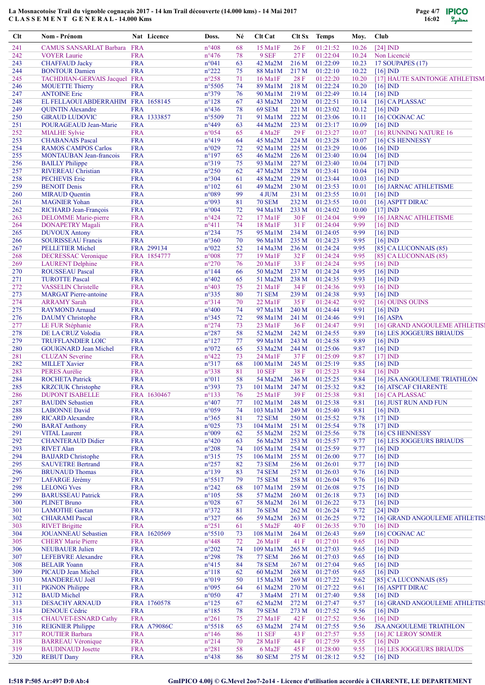

| Clt        | Nom - Prénom                                            |                          | Nat Licence        | Doss.                             | Né       | Clt Cat                              |                | Clt Sx Temps         | Moy.           | Club                     |                                            |
|------------|---------------------------------------------------------|--------------------------|--------------------|-----------------------------------|----------|--------------------------------------|----------------|----------------------|----------------|--------------------------|--------------------------------------------|
| 241        | CAMUS SANSARLAT Barbara FRA                             |                          |                    | $n^{\circ}408$                    | 68       | 15 Ma1F                              | 26F            | 01:21:52             | 10.26          | $[24]$ $MD$              |                                            |
| 242        | <b>VOYER Laurie</b>                                     | <b>FRA</b>               |                    | $n^{\circ}476$                    | 78       | 9 SEF                                | 27F            | 01:22:04             | 10.24          |                          | Non Licencié                               |
| 243        | <b>CHAFFAUD Jacky</b>                                   | <b>FRA</b>               |                    | n°041                             | 63       | 42 Ma2M                              | 216 M          | 01:22:09             | 10.23          |                          | <b>17 SOUPAPES (17)</b>                    |
| 244<br>245 | <b>BONTOUR Damien</b><br>TACHDJIAN-GERVAIS Jacquel: FRA | <b>FRA</b>               |                    | $n^{\circ}222$<br>$n^{\circ}258$  | 75<br>71 | 88 Ma1M<br>$16$ Ma <sub>1</sub> F    | 217 M<br>28 F  | 01:22:10<br>01:22:20 | 10.22<br>10.20 | $[16]$ IND               | [17] HAUTE SAINTONGE ATHLETISM             |
| 246        | <b>MOUETTE Thierry</b>                                  | <b>FRA</b>               |                    | $n^{\circ}5505$                   | 74       | 89 Ma1M                              | 218 M          | 01:22:24             | 10.20          | $[16]$ ND                |                                            |
| 247        | <b>ANTOINE Eric</b>                                     | <b>FRA</b>               |                    | n°379                             | 76       | 90 Ma1M                              | 219 M          | 01:22:49             | 10.14          | $[16]$ IND               |                                            |
| 248        | EL FELLAOUI ABDERRAHIM FRA 1658145                      |                          |                    | $n^{\circ}128$                    | 67       | 43 Ma2M                              | 220 M          | 01:22:51             | 10.14          |                          | $[16]$ CA PLASSAC                          |
| 249        | <b>QUINTIN Alexandre</b>                                | <b>FRA</b>               |                    | $n^{\circ}436$                    | 78       | <b>69 SEM</b>                        | 221 M          | 01:23:02             | 10.12          | $[16]$ IND               |                                            |
| 250        | <b>GIRAUD LUDOVIC</b>                                   |                          | FRA 1333857        | $n^{\circ}5509$                   | 71       | 91 Ma1M                              | 222 M          | 01:23:06             | 10.11          |                          | [16] COGNAC AC                             |
| 251        | POURAGEAUD Jean-Marie                                   | <b>FRA</b>               |                    | $n^{\circ}449$                    | 63       | 44 Ma2M                              | 223 M          | 01:23:17             | 10.09          | $[16]$ IND               |                                            |
| 252<br>253 | <b>MIALHE Sylvie</b><br><b>CHABANAIS Pascal</b>         | <b>FRA</b><br><b>FRA</b> |                    | $n^{\circ}054$<br>$n^{\circ}419$  | 65<br>64 | 4 Ma <sub>2F</sub><br>45 Ma2M        | 29F<br>224 M   | 01:23:27<br>01:23:28 | 10.07<br>10.07 |                          | [16] RUNNING NATURE 16<br>[16] CS HENNESSY |
| 254        | <b>RAMOS CAMPOS Carlos</b>                              | <b>FRA</b>               |                    | $n^{\circ}029$                    | $72\,$   | 92 Ma1M                              | 225 M          | 01:23:29             | 10.06          | $[16]$ $ND$              |                                            |
| 255        | MONTAUBAN Jean-francois                                 | <b>FRA</b>               |                    | $n^{\circ}197$                    | 65       | 46 Ma2M                              | 226 M          | 01:23:40             | 10.04          | $[16]$ ND                |                                            |
| 256        | <b>BAILLY Philippe</b>                                  | <b>FRA</b>               |                    | $n^{\circ}319$                    | 75       | 93 Ma1M                              | 227 M          | 01:23:40             | 10.04          | $[17]$ IND               |                                            |
| 257        | <b>RIVEREAU Christian</b>                               | <b>FRA</b>               |                    | $n^{\circ}250$                    | 62       | 47 Ma2M                              | 228 M          | 01:23:41             | 10.04          | $[16]$ IND               |                                            |
| 258        | <b>PECHEVIS Eric</b>                                    | <b>FRA</b>               |                    | n°304                             | 61       | 48 Ma2M                              | 229 M          | 01:23:44             | 10.03          | $[16]$ IND               |                                            |
| 259        | <b>BENOIT Denis</b>                                     | <b>FRA</b>               |                    | $n^{\circ}102$                    | 61       | 49 Ma2M                              | 230 M          | 01:23:53             | 10.01          |                          | [16] JARNAC ATHLETISME                     |
| 260<br>261 | <b>MIRAUD</b> Quentin<br><b>MAGNIER Yohan</b>           | <b>FRA</b><br><b>FRA</b> |                    | n°089<br>n°093                    | 99<br>81 | 4 JUM<br><b>70 SEM</b>               | 231 M<br>232 M | 01:23:55<br>01:23:55 | 10.01<br>10.01 | $[16]$ ND                | [16] ASPTT DIRAC                           |
| 262        | RICHARD Jean-François                                   | <b>FRA</b>               |                    | $n^{\circ}004$                    | 72       | 94 Ma1M                              | 233 M          | 01:24:02             | 10.00          | $[17]$ IND               |                                            |
| 263        | <b>DELOMME</b> Marie-pierre                             | <b>FRA</b>               |                    | $n^{\circ}424$                    | 72       | 17 Ma1F                              | 30 F           | 01:24:04             | 9.99           |                          | [16] JARNAC ATHLETISME                     |
| 264        | <b>DONAPETRY Magali</b>                                 | <b>FRA</b>               |                    | $n^{\circ}411$                    | 74       | 18 Ma1F                              | 31F            | 01:24:04             | 9.99           | $[16]$ IND               |                                            |
| 265        | <b>DUVOUX Antony</b>                                    | <b>FRA</b>               |                    | $n^{\circ}234$                    | 75       | 95 Ma1M                              | 234 M          | 01:24:05             | 9.99           | $[16]$ IND               |                                            |
| 266        | <b>SOURISSEAU Francis</b>                               | <b>FRA</b>               |                    | $n^{\circ}360$                    | 70       | 96 Ma1M                              | 235 M          | 01:24:23             | 9.95           | $[16]$ $ND$              |                                            |
| 267        | <b>PELLETIER Michel</b>                                 |                          | FRA 299134         | $n^{\circ}022$                    | 52       | $14$ Ma $3$ M                        | 236 M          | 01:24:24             | 9.95           |                          | $[85]$ CA LUCONNAIS $(85)$                 |
| 268        | <b>DECRESSAC Veronique</b>                              |                          | FRA 1854777        | $n^{\circ}008$                    | 77       | 19 Ma1F                              | 32 F           | 01:24:24             | 9.95           |                          | [85] CA LUCONNAIS (85)                     |
| 269<br>270 | <b>LAURENT Delphine</b><br><b>ROUSSEAU Pascal</b>       | <b>FRA</b><br><b>FRA</b> |                    | $n^{\circ}270$<br>$n^{\circ}$ 144 | 76<br>66 | $20$ Ma <sub>1</sub> F<br>50 Ma2M    | 33 F<br>237 M  | 01:24:24<br>01:24:24 | 9.95<br>9.95   | $[16]$ IND<br>$[16]$ IND |                                            |
| 271        | <b>TUROTTE Pascal</b>                                   | <b>FRA</b>               |                    | $n^{\circ}402$                    | 65       | 51 Ma2M                              | 238 M          | 01:24:35             | 9.93           | $[16]$ IND               |                                            |
| 272        | <b>VASSELIN</b> Christelle                              | <b>FRA</b>               |                    | n°403                             | 75       | 21 Ma1F                              | 34 F           | 01:24:36             | 9.93           | $[16]$ ND                |                                            |
| 273        | <b>MARGAT</b> Pierre-antoine                            | <b>FRA</b>               |                    | $n^{\circ}335$                    | 80       | <b>71 SEM</b>                        | 239 M          | 01:24:38             | 9.93           | $[16]$ IND               |                                            |
| 274        | <b>ARRAMY</b> Sarah                                     | <b>FRA</b>               |                    | n°314                             | 70       | $22$ Ma <sub>1</sub> F               | 35 F           | 01:24:42             | 9.92           |                          | [16] OUINS OUINS                           |
| 275        | <b>RAYMOND Arnaud</b>                                   | <b>FRA</b>               |                    | $n^{\circ}400$                    | 74       | 97 Ma1M                              | 240 M          | 01:24:44             | 9.91           | $[16]$ IND               |                                            |
| 276        | <b>DAUMY</b> Christophe                                 | <b>FRA</b>               |                    | $n^{\circ}345$                    | 72       | 98 Ma1M                              | 241 M          | 01:24:46             | 9.91           |                          | $[16]$ ASPA                                |
| 277        | LE FUR Stéphanie                                        | <b>FRA</b>               |                    | $n^{\circ}274$                    | 73       | $23$ Ma <sub>1</sub> F               | 36 F           | 01:24:47             | 9.91           |                          | [16] GRAND ANGOULEME ATHLETIS]             |
| 278<br>279 | DE LA CRUZ Volodia<br><b>TRUFFLANDIER LOIC</b>          | <b>FRA</b><br><b>FRA</b> |                    | $n^{\circ}287$<br>$n^{\circ}127$  | 58<br>77 | 52 Ma2M<br>99 Ma1M                   | 242 M<br>243 M | 01:24:55<br>01:24:58 | 9.89<br>9.89   | $[16]$ ND                | [16] LES JOGGEURS BRIAUDS                  |
| 280        | <b>GOUIGNARD Jean Michel</b>                            | <b>FRA</b>               |                    | $n^{\circ}072$                    | 65       | 53 Ma2M                              | 244 M          | 01:25:06             | 9.87           | $[16]$ IND               |                                            |
| 281        | <b>CLUZAN</b> Severine                                  | <b>FRA</b>               |                    | $n^{\circ}422$                    | 73       | 24 MalF                              | 37 F           | 01:25:09             | 9.87           | $[17]$ IND               |                                            |
| 282        | <b>MILLET Xavier</b>                                    | <b>FRA</b>               |                    | $n^{\circ}317$                    | 68       | $100$ MalM                           | 245 M          | 01:25:19             | 9.85           | $[16]$ ND                |                                            |
| 283        | <b>PERES Aurélie</b>                                    | <b>FRA</b>               |                    | $n^{\circ}338$                    | 81       | <b>10 SEF</b>                        | 38 F           | 01:25:23             | 9.84           | $[16]$ IND               |                                            |
| 284        | <b>ROCHETA Patrick</b>                                  | <b>FRA</b>               |                    | $n^{\circ}011$                    | 58       | 54 Ma2M                              | 246 M          | 01:25:25             | 9.84           |                          | [16] JSA ANGOULEME TRIATHLON               |
| 285        | <b>KRZCIUK</b> Christophe                               | <b>FRA</b>               |                    | n°393                             | 73       | 101 Ma1M                             | 247 M          | 01:25:32             | 9.82           |                          | [16] ATSCAF CHARENTE                       |
| 286        | <b>DUPONT ISABELLE</b>                                  |                          | FRA 1630467        | $n^{\circ}133$                    | 76       | $25$ Ma <sub>1</sub> F               | 39F            | 01:25:38<br>01:25:38 | 9.81           |                          | $[16]$ CA PLASSAC                          |
| 287<br>288 | <b>BAUDIN</b> Sebastien<br><b>LABONNE</b> David         | <b>FRA</b><br><b>FRA</b> |                    | $n^{\circ}407$<br>$n^{\circ}059$  | 77<br>74 | 102 Ma1M<br>103 Ma1M                 | 248 M<br>249 M | 01:25:40             | 9.81<br>9.81   | $[16]$ ND.               | [16] JUST RUN AND FUN                      |
| 289        | <b>RICARD Alexandre</b>                                 | <b>FRA</b>               |                    | $n^{\circ}365$                    | 81       | <b>72 SEM</b>                        | 250 M          | 01:25:52             | 9.78           | $[17]$ IND               |                                            |
| 290        | <b>BARAT Anthony</b>                                    | <b>FRA</b>               |                    | $n^{\circ}025$                    | 73       | 104 Ma1M                             | 251 M          | 01:25:54             | 9.78           | $[17]$ IND               |                                            |
| 291        | <b>VITAL Laurent</b>                                    | <b>FRA</b>               |                    | n°009                             | 62       | 55 Ma2M                              | 252 M          | 01:25:56             | 9.78           |                          | [16] CS HENNESSY                           |
| 292        | <b>CHANTERAUD Didier</b>                                | <b>FRA</b>               |                    | $n^{\circ}420$                    | 63       | 56 Ma2M                              | 253 M          | 01:25:57             | 9.77           |                          | [16] LES JOGGEURS BRIAUDS                  |
| 293        | <b>RIVET Alan</b>                                       | <b>FRA</b>               |                    | $n^{\circ}208$                    | 74       | 105 Ma1M                             | 254 M          | 01:25:59             | 9.77           | $[16]$ IND               |                                            |
| 294        | <b>BAIJARD</b> Christophe                               | <b>FRA</b>               |                    | $n^{\circ}315$                    | 75       | 106 Ma1M                             | 255 M          | 01:26:00             | 9.77           | $[16]$ IND               |                                            |
| 295        | <b>SAUVETRE Bertrand</b>                                | <b>FRA</b>               |                    | $n^{\circ}257$                    | 82       | <b>73 SEM</b>                        | 256 M          | 01:26:01             | 9.77           | $[16]$ IND               |                                            |
| 296<br>297 | <b>BRUNAUD Thomas</b><br><b>LAFARGE Jérémy</b>          | <b>FRA</b><br><b>FRA</b> |                    | $n^{\circ}139$<br>$n^{\circ}5517$ | 83<br>79 | <b>74 SEM</b><br><b>75 SEM</b>       | 257 M<br>258 M | 01:26:03<br>01:26:04 | 9.76<br>9.76   | $[16]$ IND<br>$[16]$ ND  |                                            |
| 298        | <b>LELONG Yves</b>                                      | <b>FRA</b>               |                    | $n^{\circ}242$                    | 68       | 107 Ma1M                             | 259 M          | 01:26:08             | 9.75           | $[16]$ IND               |                                            |
| 299        | <b>BARUSSEAU Patrick</b>                                | <b>FRA</b>               |                    | $n^{\circ}105$                    | 58       | 57 Ma2M                              | 260 M          | 01:26:18             | 9.73           | $[16]$ ND                |                                            |
| 300        | <b>PLINET Bruno</b>                                     | <b>FRA</b>               |                    | $n^{\circ}028$                    | 67       | 58 Ma2M                              | 261 M          | 01:26:22             | 9.73           | $[16]$ IND               |                                            |
| 301        | <b>LAMOTHE Gaetan</b>                                   | <b>FRA</b>               |                    | $n^{\circ}372$                    | 81       | <b>76 SEM</b>                        | 262 M          | 01:26:24             | 9.72           | $[24]$ IND               |                                            |
| 302        | <b>CHIARAMI</b> Pascal                                  | <b>FRA</b>               |                    | $n^{\circ}327$                    | 66       | 59 Ma2M                              | 263 M          | 01:26:25             | 9.72           |                          | [16] GRAND ANGOULEME ATHLETIS]             |
| 303        | <b>RIVET Brigitte</b>                                   | <b>FRA</b>               |                    | $n^{\circ}251$                    | 61       | 5 Ma <sub>2F</sub>                   | 40 F           | 01:26:35             | 9.70           | $[16]$ IND               |                                            |
| 304<br>305 | <b>JOUANNEAU</b> Sebastien                              | <b>FRA</b>               | FRA 1620569        | $n^{\circ}5510$<br>$n^{\circ}448$ | 73<br>72 | $108$ MalM<br>$26$ Ma <sub>1</sub> F | 264 M          | 01:26:43<br>01:27:01 | 9.69           |                          | $[16]$ COGNAC AC                           |
| 306        | <b>CHERY Marie Pierre</b><br><b>NEUBAUER Julien</b>     | <b>FRA</b>               |                    | $n^{\circ}202$                    | 74       | 109 Ma1M                             | 41 F<br>265 M  | 01:27:03             | 9.65<br>9.65   | $[16]$ ND<br>$[16]$ IND  |                                            |
| 307        | <b>LEFEBVRE</b> Alexandre                               | <b>FRA</b>               |                    | $n^{\circ}298$                    | 78       | <b>77 SEM</b>                        | 266 M          | 01:27:03             | 9.65           | $[16]$ IND               |                                            |
| 308        | <b>BELAIR</b> Yoann                                     | <b>FRA</b>               |                    | $n^{\circ}415$                    | 84       | <b>78 SEM</b>                        | 267 M          | 01:27:04             | 9.65           | $[16]$ $ND$              |                                            |
| 309        | PICAUD Jean Michel                                      | <b>FRA</b>               |                    | $n^{\circ}118$                    | 62       | 60 Ma2M                              | 268 M          | 01:27:05             | 9.65           | $[16]$ IND               |                                            |
| 310        | <b>MANDEREAU Joël</b>                                   | <b>FRA</b>               |                    | n°019                             | 50       | $15$ Ma $3M$                         | 269 M          | 01:27:22             | 9.62           |                          | [85] CA LUCONNAIS (85)                     |
| 311        | <b>PIGNON Philippe</b>                                  | <b>FRA</b>               |                    | n°095                             | 64       | 61 Ma2M                              | 270 M          | 01:27:22             | 9.61           |                          | [16] ASPTT DIRAC                           |
| 312        | <b>BAUD</b> Michel                                      | <b>FRA</b>               |                    | $n^{\circ}050$                    | 47       | 3 Ma4M                               | 271 M          | 01:27:40             | 9.58           | $[16]$ IND               |                                            |
| 313        | <b>DESACHY ARNAUD</b>                                   |                          | FRA 1760578        | $n^{\circ}125$                    | 67       | 62 Ma2M                              | 272 M          | 01:27:47             | 9.57           |                          | [16] GRAND ANGOULEME ATHLETIS]             |
| 314<br>315 | <b>DENOUE Cédric</b><br><b>CHAUVET-ESNARD Cathy</b>     | <b>FRA</b><br><b>FRA</b> |                    | $n^{\circ}185$<br>$n^{\circ}261$  | 78<br>75 | <b>79 SEM</b><br>27 MalF             | 273 M<br>42 F  | 01:27:52<br>01:27:52 | 9.56<br>9.56   | $[16]$ IND<br>$[16]$ IND |                                            |
| 316        | <b>REIGNIER Philippe</b>                                |                          | <b>FRA A79086C</b> | $n^{\circ}5518$                   | 65       | 63 Ma2M                              | 274 M          | 01:27:55             | 9.56           |                          | <b>JSA ANGOULEME TRIATHLON</b>             |
| 317        | <b>ROUTIER Barbara</b>                                  | <b>FRA</b>               |                    | $n^{\circ}146$                    | 86       | <b>11 SEF</b>                        | 43 F           | 01:27:57             | 9.55           |                          | [16] JC LEROY SOMER                        |
| 318        | <b>BARREAU Véronique</b>                                | <b>FRA</b>               |                    | $n^{\circ}214$                    | 70       | 28 Ma1F                              | 44 F           | 01:27:59             | 9.55           | $[16]$ IND               |                                            |
| 319        | <b>BAUDINAUD Josette</b>                                | <b>FRA</b>               |                    | $n^{\circ}281$                    | 58       | 6 Ma <sub>2F</sub>                   | 45 F           | 01:28:00             | 9.55           |                          | [16] LES JOGGEURS BRIAUDS                  |
| 320        | <b>REBUT Dany</b>                                       | <b>FRA</b>               |                    | $n^{\circ}438$                    | 86       | <b>80 SEM</b>                        | 275 M          | 01:28:12             | 9.52           | $[16]$ ND                |                                            |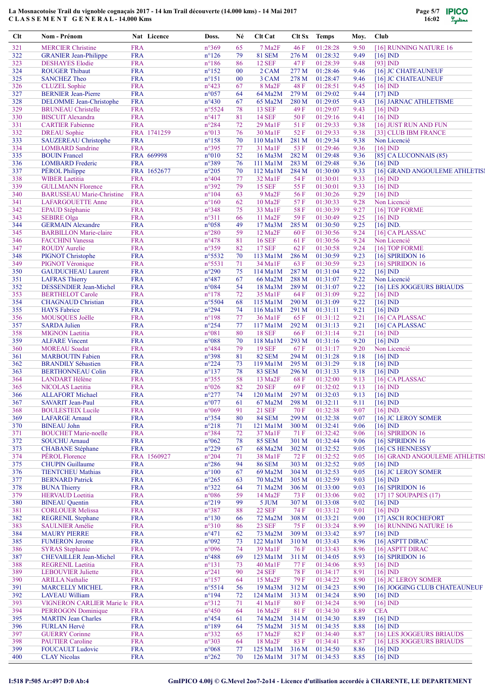

| Clt | Nom - Prénom                     | Nat Licence | Doss.            | Né     | Clt Cat            | Clt Sx      | <b>Temps</b>   | Moy. | <b>Club</b>                    |
|-----|----------------------------------|-------------|------------------|--------|--------------------|-------------|----------------|------|--------------------------------|
| 321 | <b>MERCIER Christine</b>         | <b>FRA</b>  | $n^{\circ}369$   | 65     | 7 Ma <sub>2F</sub> | 46 F        | 01:28:28       | 9.50 | [16] RUNNING NATURE 16         |
| 322 | <b>GRANIER Jean-Philippe</b>     | <b>FRA</b>  | $n^{\circ}126$   | 79     | <b>81 SEM</b>      | 276 M       | 01:28:32       | 9.49 | $[16]$ ND                      |
| 323 | <b>DESHAYES</b> Elodie           | <b>FRA</b>  | $n^{\circ}186$   | 86     | <b>12 SEF</b>      | 47 F        | 01:28:39       | 9.48 | $[93]$ IND                     |
| 324 | <b>ROUGER Thibaut</b>            | <b>FRA</b>  | $n^{\circ}152$   | $00\,$ | 2 CAM              | 277 M       | 01:28:46       | 9.46 | [16] JC CHATEAUNEUF            |
| 325 | <b>SANCHEZ Theo</b>              | <b>FRA</b>  | $n^{\circ}151$   | 00     | 3 CAM              | 278 M       | 01:28:47       | 9.46 | [16] JC CHATEAUNEUF            |
| 326 | <b>CLUZEL</b> Sophie             | <b>FRA</b>  | $n^{\circ}423$   | 67     | 8 Ma2F             | 48 F        | 01:28:51       | 9.45 | $[16]$ IND                     |
| 327 | <b>BERNIER Jean-Pierre</b>       | <b>FRA</b>  | n°057            | 64     | 64 Ma2M            | 279 M       | 01:29:02       | 9.44 | $[17]$ IND                     |
| 328 | DELOMME Jean-Christophe          | <b>FRA</b>  | $n^{\circ}430$   | 67     | 65 Ma2M            | 280 M       | 01:29:05       | 9.43 | [16] JARNAC ATHLETISME         |
| 329 | <b>BRUNEAU Christelle</b>        | <b>FRA</b>  | n°5524           | 78     | <b>13 SEF</b>      | 49 F        | 01:29:07       | 9.43 | $[16]$ ND                      |
| 330 | <b>BISCUIT Alexandra</b>         | <b>FRA</b>  | $n^{\circ}417$   | 81     | <b>14 SEF</b>      | 50F         | 01:29:16       | 9.41 | $[16]$ $ND$                    |
| 331 | <b>CARTIER Fabienne</b>          | <b>FRA</b>  | $n^{\circ}284$   | 72     | 29 MalF            | 51F         | 01:29:33       | 9.38 | [16] JUST RUN AND FUN          |
| 332 | <b>DREAU</b> Sophie              | FRA 1741259 | n°013            | 76     | 30 Ma1F            | 52 F        | 01:29:33       | 9.38 | [33] CLUB IBM FRANCE           |
| 333 | <b>SAUZEREAU Christophe</b>      | <b>FRA</b>  | $n^{\circ}158$   | 70     | 110 Ma1M           | 281 M       | 01:29:34       | 9.38 | Non Licencié                   |
| 334 | <b>LOMBARD</b> Sandrine          | <b>FRA</b>  | n°395            | 77     | 31 Ma1F            | 53 F        | 01:29:46       | 9.36 | $[16]$ ND                      |
|     |                                  |             |                  |        |                    | 282 M       |                |      |                                |
| 335 | <b>BOUIN</b> Francel             | FRA 669998  | $n^{\circ}010$   | 52     | 16 Ma3M            |             | 01:29:48       | 9.36 | [85] CA LUCONNAIS (85)         |
| 336 | <b>LOMBARD</b> Frederic          | <b>FRA</b>  | n°389            | 76     | $111$ Ma $1M$      | 283 M       | 01:29:48       | 9.36 | $[16]$ IND                     |
| 337 | PÉROL Philippe                   | FRA 1652677 | $n^{\circ}205$   | 70     | 112 Ma1M           | 284 M       | 01:30:00       | 9.33 | [16] GRAND ANGOULEME ATHLETIS] |
| 338 | <b>WIBER</b> Laetitia            | <b>FRA</b>  | $n^{\circ}404$   | 77     | 32 MalF            | 54 F        | 01:30:01       | 9.33 | $[16]$ ND                      |
| 339 | <b>GULLMANN Florence</b>         | <b>FRA</b>  | n°392            | 79     | <b>15 SEF</b>      | 55F         | 01:30:01       | 9.33 | $[16]$ IND                     |
| 340 | <b>BARUSSEAU Marie-Christine</b> | <b>FRA</b>  | $n^{\circ}104$   | 63     | 9 Ma <sub>2F</sub> | 56 F        | 01:30:26       | 9.29 | $[16]$ IND                     |
| 341 | <b>LAFARGOUETTE Anne</b>         | <b>FRA</b>  | $n^{\circ}160$   | 62     | 10 Ma2F            | 57F         | 01:30:33       | 9.28 | Non Licencié                   |
| 342 | <b>EPAUD Stéphanie</b>           | <b>FRA</b>  | $n^{\circ}348$   | 75     | 33 Ma1F            | 58F         | 01:30:39       | 9.27 | [16] TOP FORME                 |
| 343 | <b>SEBIRE Olga</b>               | <b>FRA</b>  | $n^{\circ}311$   | 66     | 11 Ma2F            | 59F         | 01:30:49       | 9.25 | $[16]$ IND                     |
| 344 | <b>GERMAIN Alexandre</b>         | <b>FRA</b>  | $n^{\circ}058$   | 49     | 17 Ma3M            | 285 M       | 01:30:50       | 9.25 | $[16]$ ND.                     |
| 345 | <b>BARBILLON Marie-claire</b>    | <b>FRA</b>  | $n^{\circ}280$   | 59     | 12 Ma2F            | 60 F        | 01:30:56       | 9.24 | [16] CAPLASSAC                 |
| 346 | <b>FACCHINI Vanessa</b>          | <b>FRA</b>  | $n^{\circ}478$   | 81     | <b>16 SEF</b>      | 61 F        | 01:30:56       | 9.24 | Non Licencié                   |
| 347 | <b>ROUDY Aurelie</b>             | <b>FRA</b>  | n°359            | 82     | <b>17 SEF</b>      | 62F         | 01:30:58       | 9.24 | [16] TOP FORME                 |
| 348 | PIGNOT Christophe                | <b>FRA</b>  | n°5532           | 70     | 113 Ma1M           | 286 M       | 01:30:59       | 9.23 | $[16]$ SPIRIDON $16$           |
| 349 | PIGNOT Véronique                 | <b>FRA</b>  | $n^{\circ}$ 5531 | 71     | 34 Ma1F            | 63 F        | 01:30:59       | 9.23 | [16] SPIRIDON 16               |
| 350 | <b>GAUDUCHEAU Laurent</b>        | <b>FRA</b>  | $n^{\circ}290$   | 75     | 114 Ma1M           | 287 M       | 01:31:04       | 9.22 | $[16]$ IND                     |
| 351 | <b>LAFRAS Thierry</b>            | <b>FRA</b>  | $n^{\circ}487$   | 67     | 66 Ma2M            | 288 M       | 01:31:07       | 9.22 | Non Licencié                   |
|     |                                  |             |                  |        |                    |             |                |      |                                |
| 352 | <b>DESSENDIER Jean-Michel</b>    | <b>FRA</b>  | n°084            | 54     | 18 Ma3M            | 289 M       | 01:31:07       | 9.22 | [16] LES JOGGEURS BRIAUDS      |
| 353 | <b>BERTHELOT Carole</b>          | <b>FRA</b>  | $n^{\circ}178$   | 72     | 35 Ma1F            | 64 F        | 01:31:09       | 9.22 | $[16]$ IND                     |
| 354 | <b>CHAGNAUD Christian</b>        | <b>FRA</b>  | n°5504           | 68     | 115 Ma1M           | 290 M       | 01:31:09       | 9.22 | $[16]$ ND                      |
| 355 | <b>HAYS</b> Fabrice              | <b>FRA</b>  | n°294            | 74     | $116$ Ma $1M$      | 291 M       | 01:31:11       | 9.21 | $[16]$ IND                     |
| 356 | MOUSQUES Joëlle                  | <b>FRA</b>  | $n^{\circ}$ 198  | 77     | 36 Ma1F            | 65 F        | 01:31:12       | 9.21 | [16] CAPLASSAC                 |
| 357 | <b>SARDA Julien</b>              | <b>FRA</b>  | $n^{\circ}254$   | 77     | 117 Ma1M           | 292 M       | 01:31:13       | 9.21 | $[16]$ CAPLASSAC               |
| 358 | <b>MIGNON Laetitia</b>           | <b>FRA</b>  | n°081            | 80     | <b>18 SEF</b>      | 66 F        | 01:31:14       | 9.21 | $[16]$ IND                     |
| 359 | <b>ALFARE Vincent</b>            | <b>FRA</b>  | $n^{\circ}088$   | 70     | 118 Ma1M           | 293 M       | 01:31:16       | 9.20 | $[16]$ IND                     |
| 360 | <b>MOREAU</b> Soadat             | <b>FRA</b>  | $n^{\circ}484$   | 79     | <b>19 SEF</b>      | 67 F        | 01:31:17       | 9.20 | Non Licencié                   |
| 361 | <b>MARBOUTIN Fabien</b>          | <b>FRA</b>  | n°398            | 81     | <b>82 SEM</b>      | 294 M       | 01:31:28       | 9.18 | $[16]$ IND                     |
| 362 | <b>BRANDILY Sébastien</b>        | <b>FRA</b>  | $n^{\circ}224$   | 73     | 119 Ma1M           | 295 M       | 01:31:29       | 9.18 | $[16]$ ND                      |
| 363 | <b>BERTHONNEAU Colin</b>         | <b>FRA</b>  | $n^{\circ}137$   | 78     | <b>83 SEM</b>      | 296 M       | 01:31:33       | 9.18 | $[16]$ IND                     |
| 364 | <b>LANDART Hélène</b>            | <b>FRA</b>  | $n^{\circ}355$   | 58     | 13 Ma2F            | 68F         | 01:32:00       | 9.13 | [16] CAPLASSAC                 |
| 365 | NICOLAS Laetitia                 | <b>FRA</b>  | $n^{\circ}026$   | 82     | <b>20 SEF</b>      | 69 F        | 01:32:02       | 9.13 | $[16]$ IND                     |
| 366 | <b>ALLAFORT Michael</b>          | <b>FRA</b>  | $n^{\circ}277$   | 74     | 120 Ma1M           |             | 297 M 01:32:03 |      | 9.13 [16] IND                  |
| 367 | <b>SAVARIT Jean-Paul</b>         | <b>FRA</b>  | $n^{\circ}077$   | 61     | 67 Ma2M            | 298 M       | 01:32:11       | 9.11 | $[16]$ ND                      |
| 368 | <b>BOULESTEIX Lucile</b>         | <b>FRA</b>  | n°069            | 91     | <b>21 SEF</b>      | 70 F        | 01:32:38       | 9.07 | $[16]$ IND.                    |
| 369 | <b>LAFARGE Arnaud</b>            | <b>FRA</b>  | $n^{\circ}354$   | 80     | <b>84 SEM</b>      | 299 M       | 01:32:38       | 9.07 | [16] JC LEROY SOMER            |
| 370 | <b>BINEAU John</b>               | <b>FRA</b>  | $n^{\circ}218$   | 71     | 121 Ma1M           | 300 M       | 01:32:41       | 9.06 | $[16]$ IND                     |
| 371 | <b>BOUCHET Marie-noelle</b>      | <b>FRA</b>  | n°384            | 72     | 37 MalF            | 71 F        | 01:32:42       | 9.06 | [16] SPIRIDON 16               |
| 372 | <b>SOUCHU Arnaud</b>             | <b>FRA</b>  | $n^{\circ}062$   | 78     | <b>85 SEM</b>      | 301 M       | 01:32:44       | 9.06 | $[16]$ SPIRIDON 16             |
| 373 | <b>CHABANE</b> Stéphane          | <b>FRA</b>  | $n^{\circ}229$   | 67     | 68 Ma2M            | 302 M       | 01:32:52       | 9.05 | [16] CS HENNESSY               |
|     | PÉROL Florence                   |             |                  |        |                    |             |                |      |                                |
| 374 |                                  | FRA 1560927 | n°204            | 71     | 38 Ma1F            | 72 F        | 01:32:52       | 9.05 | [16] GRAND ANGOULEME ATHLETIS] |
| 375 | <b>CHUPIN Guillaume</b>          | <b>FRA</b>  | $n^{\circ}286$   | 94     | <b>86 SEM</b>      | 303 M       | 01:32:52       | 9.05 | $[16]$ IND                     |
| 376 | <b>TIENTCHEU Mathias</b>         | <b>FRA</b>  | $n^{\circ}100$   | 67     | 69 Ma2M            | 304 M       | 01:32:53       | 9.05 | [16] JC LEROY SOMER            |
| 377 | <b>BERNARD Patrick</b>           | <b>FRA</b>  | $n^{\circ}265$   | 63     | 70 Ma2M            | 305 M       | 01:32:59       | 9.03 | $[16]$ IND                     |
| 378 | <b>BUNA Thierry</b>              | <b>FRA</b>  | $n^{\circ}322$   | 64     | 71 Ma2M            | 306 M       | 01:33:00       | 9.03 | $[16]$ SPIRIDON 16             |
| 379 | <b>HERVAUD</b> Loetitia          | <b>FRA</b>  | n°086            | 59     | 14 Ma2F            | 73 F        | 01:33:06       | 9.02 | $[17]$ 17 SOUPAPES $(17)$      |
| 380 | <b>BINEAU</b> Quentin            | <b>FRA</b>  | $n^{\circ}219$   | 99     | 5 JUM              | 307 M       | 01:33:08       | 9.02 | $[16]$ IND                     |
| 381 | <b>CORLOUER Melissa</b>          | <b>FRA</b>  | n°387            | 88     | <b>22 SEF</b>      | 74 F        | 01:33:12       | 9.01 | $[16]$ IND                     |
| 382 | <b>REGRENIL Stephane</b>         | <b>FRA</b>  | $n^{\circ}130$   | 66     | 72 Ma2M            | 308 M       | 01:33:21       | 9.00 | [17] ASCH ROCHEFORT            |
| 383 | <b>SAULNIER Amélie</b>           | <b>FRA</b>  | $n^{\circ}310$   | 86     | <b>23 SEF</b>      | 75 F        | 01:33:24       | 8.99 | [16] RUNNING NATURE 16         |
| 384 | <b>MAURY PIERRE</b>              | <b>FRA</b>  | $n^{\circ}471$   | 62     | 73 Ma2M            | 309 M       | 01:33:42       | 8.97 | $[16]$ ND                      |
| 385 | <b>FUMERON</b> Jerome            | <b>FRA</b>  | n°092            | 73     | $122$ Ma $1$ M     | 310 M       | 01:33:43       | 8.96 | $[16]$ ASPTT DIRAC             |
| 386 | <b>SYRAS</b> Stephanie           | <b>FRA</b>  | n°096            | 74     | 39 Ma1F            | 76 F        | 01:33:43       | 8.96 | [16] ASPTT DIRAC               |
| 387 | <b>CHEVAILLER Jean-Michel</b>    | <b>FRA</b>  | $n^{\circ}488$   | 69     | 123 Ma1M           | 311 M       | 01:34:05       | 8.93 | $[16]$ SPIRIDON 16             |
| 388 | <b>REGRENIL Laetitia</b>         | <b>FRA</b>  | $n^{\circ}131$   | 73     | 40 Ma1F            | 77 F        | 01:34:06       | 8.93 | $[16]$ ND                      |
| 389 | <b>LEBOUVIER Juliette</b>        | <b>FRA</b>  | $n^{\circ}241$   | 90     | <b>24 SEF</b>      | <b>78 F</b> | 01:34:17       | 8.91 | $[16]$ IND                     |
| 390 | <b>ARILLA Nathalie</b>           | <b>FRA</b>  | $n^{\circ}157$   | 64     | 15 Ma2F            | 79 F        | 01:34:22       | 8.90 | [16] JC LEROY SOMER            |
| 391 | <b>MARCELLY MICHEL</b>           | <b>FRA</b>  | n°5514           | 56     | 19 Ma3M            | 312 M       | 01:34:23       | 8.90 | [16] JOGGING CLUB CHATEAUNEUF  |
| 392 | <b>LAVEAU William</b>            | <b>FRA</b>  | $n^{\circ}194$   | 72     | $124$ Ma $1M$      | 313 M       | 01:34:24       | 8.90 | $[16]$ ND                      |
|     |                                  |             |                  |        |                    |             |                |      |                                |
| 393 | VIGNERON CARLIER Marie lo FRA    |             | $n^{\circ}312$   | 71     | 41 Ma1F            | 80F         | 01:34:24       | 8.90 | $[16]$ IND                     |
| 394 | <b>PERROGON Dominique</b>        | <b>FRA</b>  | $n^{\circ}450$   | 64     | 16 Ma2F            | 81 F        | 01:34:30       | 8.89 | <b>CEA</b>                     |
| 395 | <b>MARTIN Jean Charles</b>       | <b>FRA</b>  | $n^{\circ}454$   | 61     | 74 Ma2M            | 314 M       | 01:34:30       | 8.89 | $[16]$ IND                     |
| 396 | <b>FURLAN Hervé</b>              | <b>FRA</b>  | $n^{\circ}189$   | 64     | 75 Ma2M            | 315 M       | 01:34:35       | 8.88 | $[16]$ IND                     |
| 397 | <b>GUERRY</b> Corinne            | <b>FRA</b>  | n°332            | 65     | 17 Ma2F            | 82F         | 01:34:40       | 8.87 | [16] LES JOGGEURS BRIAUDS      |
| 398 | <b>PAUTIER Caroline</b>          | <b>FRA</b>  | n°303            | 64     | 18 Ma2F            | 83F         | 01:34:41       | 8.87 | [16] LES JOGGEURS BRIAUDS      |
| 399 | <b>FOUCAULT Ludovic</b>          | <b>FRA</b>  | $n^{\circ}068$   | 77     | 125 Ma1M           | 316 M       | 01:34:50       | 8.86 | $[16]$ IND                     |
| 400 | <b>CLAY Nicolas</b>              | <b>FRA</b>  | $n^{\circ}262$   | 70     | $126$ Ma $1$ M     | 317 M       | 01:34:53       | 8.85 | $[16]$ ND                      |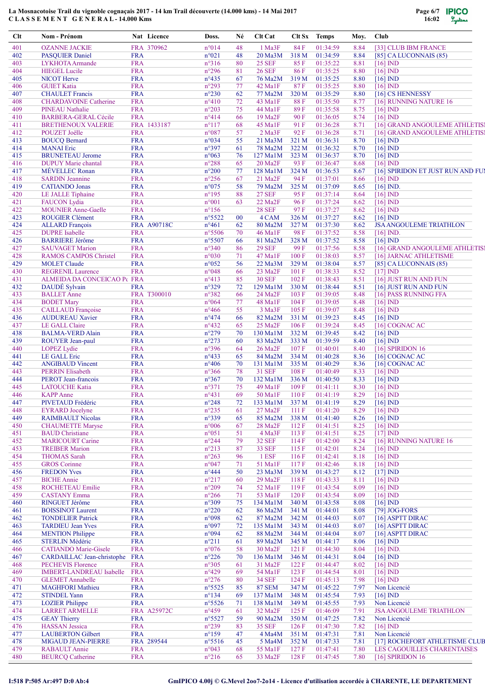

| Clt | Nom - Prénom                    |            | Nat Licence | Doss.           | Né     | Clt Cat                |       | Clt Sx Temps | Moy. | <b>Club</b>                       |
|-----|---------------------------------|------------|-------------|-----------------|--------|------------------------|-------|--------------|------|-----------------------------------|
| 401 | <b>OZANNE JACKIE</b>            |            | FRA 370962  | $n^{\circ}014$  | 48     | 1 Ma3F                 | 84 F  | 01:34:59     | 8.84 | [33] CLUB IBM FRANCE              |
| 402 | <b>PASOUIER Daniel</b>          | <b>FRA</b> |             | $n^{\circ}021$  | 48     | 20 Ma3M                | 318 M | 01:34:59     | 8.84 | $[85]$ CA LUCONNAIS $(85)$        |
| 403 | LYKHOTA Armande                 | <b>FRA</b> |             | $n^{\circ}316$  | 80     | <b>25 SEF</b>          | 85F   | 01:35:22     | 8.81 | $[16]$ ND                         |
| 404 | <b>HIEGEL Lucile</b>            | <b>FRA</b> |             | $n^{\circ}296$  | 81     | <b>26 SEF</b>          | 86F   | 01:35:25     | 8.80 | $[16]$ IND                        |
| 405 | <b>NICOT</b> Herve              | <b>FRA</b> |             | $n^{\circ}435$  | 67     | 76 Ma2M                | 319 M | 01:35:25     | 8.80 | $[16]$ IND                        |
| 406 | <b>GUIET Katia</b>              | <b>FRA</b> |             | $n^{\circ}293$  | 77     | 42 Ma1F                | 87F   | 01:35:25     | 8.80 | $[16]$ IND                        |
| 407 | <b>CHAULET</b> Francis          | <b>FRA</b> |             | $n^{\circ}230$  | 62     | 77 Ma2M                | 320 M | 01:35:29     | 8.80 | [16] CS HENNESSY                  |
| 408 | <b>CHARDAVOINE Catherine</b>    | <b>FRA</b> |             | $n^{\circ}410$  | 72     | 43 MalF                | 88F   | 01:35:50     | 8.77 | [16] RUNNING NATURE 16            |
| 409 | <b>PINEAU Nathalie</b>          | <b>FRA</b> |             | $n^{\circ}203$  | 75     | 44 Ma1F                | 89F   | 01:35:58     | 8.75 | $[16]$ IND                        |
| 410 | <b>BARBERA-GERAL Cécile</b>     | <b>FRA</b> |             | $n^{\circ}414$  | 66     | 19 Ma2F                | 90 F  | 01:36:05     | 8.74 | $[16]$ IND                        |
| 411 | <b>BRETHENOUX VALERIE</b>       |            | FRA 1433187 | $n^{\circ}117$  | 68     | 45 Ma1F                | 91 F  | 01:36:28     | 8.71 | [16] GRAND ANGOULEME ATHLETIS]    |
| 412 | POUZET Joëlle                   | <b>FRA</b> |             | n°087           | 57     | $2$ Ma $3F$            | 92 F  | 01:36:28     | 8.71 | [16] GRAND ANGOULEME ATHLETIS]    |
| 413 | <b>BOUCQ Bernard</b>            | <b>FRA</b> |             | n°034           | 55     | 21 Ma3M                | 321 M | 01:36:31     | 8.70 | $[16]$ ND                         |
| 414 | <b>MANAI</b> Eric               | <b>FRA</b> |             | n°397           | 61     | 78 Ma2M                | 322 M | 01:36:32     | 8.70 | $[16]$ ND                         |
| 415 | <b>BRUNETEAU Jerome</b>         | <b>FRA</b> |             | $n^{\circ}063$  | 76     | $127$ Ma $1M$          | 323 M | 01:36:37     | 8.70 | $[16]$ ND                         |
| 416 | <b>DUPUY</b> Marie chantal      | <b>FRA</b> |             | $n^{\circ}288$  | 65     | $20$ Ma <sub>2</sub> F | 93 F  | 01:36:47     | 8.68 | $[16]$ IND                        |
| 417 | <b>MÉVELLEC Ronan</b>           | <b>FRA</b> |             | $n^{\circ}200$  | 77     | 128 Ma1M               | 324 M | 01:36:53     | 8.67 | [16] SPIRIDON ET JUST RUN AND FUI |
| 418 | <b>SARDIN Jeannine</b>          | <b>FRA</b> |             | $n^{\circ}256$  | 67     | $21$ Ma <sub>2</sub> F | 94 F  | 01:37:01     | 8.66 | $[16]$ IND                        |
| 419 | <b>CATIANDO</b> Jonas           | <b>FRA</b> |             | $n^{\circ}075$  | 58     | 79 Ma2M                | 325 M | 01:37:09     | 8.65 | $[16]$ IND.                       |
| 420 | LE JALLE Tiphaine               | <b>FRA</b> |             | $n^{\circ}195$  | 88     | <b>27 SEF</b>          | 95 F  | 01:37:14     | 8.64 | $[16]$ IND                        |
| 421 | <b>FAUCON</b> Lydia             | <b>FRA</b> |             | $n^{\circ}001$  | 63     | 22 Ma2F                | 96 F  | 01:37:24     | 8.62 | $[16]$ IND                        |
| 422 | <b>MOUNIER Anne-Gaelle</b>      | <b>FRA</b> |             | $n^{\circ}156$  |        | <b>28 SEF</b>          | 97 F  | 01:37:27     | 8.62 | $[16]$ IND                        |
| 423 | <b>ROUGIER Clément</b>          | <b>FRA</b> |             | $n^{\circ}5522$ | $00\,$ | 4 CAM                  | 326 M | 01:37:27     | 8.62 | $[16]$ IND                        |
| 424 | <b>ALLARD</b> François          |            | FRA A90718C | $n^{\circ}461$  | 62     | 80 Ma2M                | 327 M | 01:37:30     | 8.62 | <b>JSA ANGOULEME TRIATHLON</b>    |
| 425 | <b>DUPRE</b> Isabelle           | <b>FRA</b> |             | $n^{\circ}5506$ | 70     | 46 Ma1F                | 98 F  | 01:37:52     | 8.58 | $[16]$ IND.                       |
| 426 | <b>BARRIERE Jérôme</b>          | <b>FRA</b> |             | $n^{\circ}5507$ | 66     | 81 Ma2M                | 328 M | 01:37:52     | 8.58 | $[16]$ ND                         |
| 427 | <b>SAUVAGET Marion</b>          | <b>FRA</b> |             | $n^{\circ}340$  | 86     | <b>29 SEF</b>          | 99 F  | 01:37:56     | 8.58 | [16] GRAND ANGOULEME ATHLETIS]    |
| 428 | <b>RAMOS CAMPOS Christel</b>    | <b>FRA</b> |             | $n^{\circ}030$  | 71     | 47 Ma1F                | 100F  | 01:38:03     | 8.57 | [16] JARNAC ATHLETISME            |
| 429 | <b>MOLET</b> Claude             | <b>FRA</b> |             | $n^{\circ}052$  | 56     | 22 Ma3M                | 329 M | 01:38:04     | 8.57 | $[85]$ CA LUCONNAIS $(85)$        |
| 430 | <b>REGRENIL Laurence</b>        | <b>FRA</b> |             | $n^{\circ}048$  | 66     | 23 Ma2F                | 101 F | 01:38:33     | 8.52 | $[17]$ IND                        |
| 431 | ALMEIDA DA CONCEICAO P€ FRA     |            |             | $n^{\circ}413$  | 85     | <b>30 SEF</b>          | 102F  | 01:38:43     | 8.51 | [16] JUST RUN AND FUN             |
| 432 | DAUDÉ Sylvain                   | <b>FRA</b> |             | $n^{\circ}329$  | 72     | 129 Ma1M               | 330 M | 01:38:44     | 8.51 | [16] JUST RUN AND FUN             |
| 433 | <b>BALLET</b> Anne              |            | FRA T300010 | $n^{\circ}382$  | 66     | $24$ Ma <sub>2</sub> F | 103 F | 01:39:05     | 8.48 | [16] PASS RUNNING FFA             |
| 434 | <b>BODET</b> Mary               | <b>FRA</b> |             | $n^{\circ}064$  | 77     | 48 MalF                | 104 F | 01:39:05     | 8.48 | $[16]$ IND                        |
| 435 | <b>CAILLAUD Françoise</b>       | <b>FRA</b> |             | $n^{\circ}466$  | 55     | 3 Ma3F                 | 105F  | 01:39:07     | 8.48 | $[16]$ IND                        |
| 436 | <b>AUDUREAU Xavier</b>          | <b>FRA</b> |             | $n^{\circ}474$  | 66     | 82 Ma2M                | 331 M | 01:39:23     | 8.45 | $[16]$ IND                        |
| 437 | LE GALL Claire                  | <b>FRA</b> |             | $n^{\circ}432$  | 65     | 25 Ma2F                | 106F  | 01:39:24     | 8.45 | [16] COGNAC AC                    |
| 438 | <b>BALMA-VERD Alain</b>         | <b>FRA</b> |             | $n^{\circ}279$  | 70     | 130 Ma1M               | 332 M | 01:39:45     | 8.42 | $[16]$ IND                        |
| 439 | ROUYER Jean-paul                | <b>FRA</b> |             | $n^{\circ}273$  | 60     | 83 Ma2M                | 333 M | 01:39:59     | 8.40 | $[16]$ ND                         |
| 440 | <b>LOPEZ</b> Lydie              | <b>FRA</b> |             | n°396           | 64     | 26 Ma2F                | 107 F | 01:40:01     | 8.40 | [16] SPIRIDON 16                  |
| 441 | LE GALL Eric                    | <b>FRA</b> |             | $n^{\circ}433$  | 65     | 84 Ma2M                | 334 M | 01:40:28     | 8.36 | [16] COGNAC AC                    |
| 442 | <b>ANGIBAUD Vincent</b>         | <b>FRA</b> |             | $n^{\circ}406$  | 70     | 131 Ma1M               | 335 M | 01:40:29     | 8.36 | [16] COGNAC AC                    |
| 443 | <b>PERRIN Elisabeth</b>         | <b>FRA</b> |             | $n^{\circ}366$  | 78     | <b>31 SEF</b>          | 108F  | 01:40:49     | 8.33 | $[16]$ IND                        |
| 444 | PEROT Jean-francois             | <b>FRA</b> |             | $n^{\circ}367$  | 70     | 132 Ma1M               | 336 M | 01:40:50     | 8.33 | $[16]$ $ND$                       |
| 445 | <b>LATOUCHE Katia</b>           | <b>FRA</b> |             | $n^{\circ}371$  | 75     | 49 Ma1F                | 109F  | 01:41:11     | 8.30 | $[16]$ IND                        |
| 446 | <b>KAPP</b> Anne                | <b>FRA</b> |             | $n^{\circ}431$  | 69     | 50 Ma1F                | 110F  | 01:41:19     | 8.29 | $[16]$ IND                        |
| 447 | PIVETAUD Frédéric               | <b>FRA</b> |             | $n^{\circ}248$  | 72     | 133 Ma1M               | 337 M | 01:41:19     | 8.29 | $[16]$ $ND$                       |
| 448 | <b>EYRARD</b> Jocelyne          | <b>FRA</b> |             | $n^{\circ}235$  | 61     | 27 Ma2F                | 111 F | 01:41:20     | 8.29 | $[16]$ IND                        |
| 449 | <b>RAIMBAULT Nicolas</b>        | <b>FRA</b> |             | n°339           | 65     | 85 Ma2M                | 338 M | 01:41:40     | 8.26 | $[16]$ IND                        |
| 450 | <b>CHAUMETTE Maryse</b>         | <b>FRA</b> |             | $n^{\circ}006$  | 67     | 28 Ma2F                | 112F  | 01:41:51     | 8.25 | $[16]$ IND                        |
| 451 | <b>BAUD</b> Christiane          | <b>FRA</b> |             | $n^{\circ}051$  | 51     | 4 Ma3F                 | 113F  | 01:41:51     | 8.25 | $[17]$ IND                        |
| 452 | <b>MARICOURT Carine</b>         | <b>FRA</b> |             | $n^{\circ}244$  | 79     | <b>32 SEF</b>          | 114F  | 01:42:00     | 8.24 | [16] RUNNING NATURE 16            |
| 453 | <b>TREIBER Marion</b>           | <b>FRA</b> |             | $n^{\circ}213$  | 87     | <b>33 SEF</b>          | 115F  | 01:42:01     | 8.24 | $[16]$ IND                        |
| 454 | <b>THOMAS</b> Sarah             | <b>FRA</b> |             | $n^{\circ}263$  | 96     | 1 ESF                  | 116F  | 01:42:41     | 8.18 | $[16]$ ND                         |
| 455 | <b>GROS</b> Corinne             | <b>FRA</b> |             | $n^{\circ}047$  | 71     | 51 Ma1F                | 117F  | 01:42:46     | 8.18 | $[16]$ IND                        |
| 456 | <b>FREDON Yves</b>              | <b>FRA</b> |             | $n^{\circ}444$  | 50     | 23 Ma3M                | 339 M | 01:43:27     | 8.12 | $[17]$ ND                         |
| 457 | <b>BICHE</b> Annie              | <b>FRA</b> |             | $n^{\circ}217$  | 60     | 29 Ma2F                | 118F  | 01:43:33     | 8.11 | $[16]$ $ND$                       |
| 458 | ROCHETEAU Emilie                | <b>FRA</b> |             | $n^{\circ}209$  | 74     | 52 Ma1F                | 119F  | 01:43:54     | 8.09 | $[16]$ IND                        |
| 459 | <b>CASTANY Emma</b>             | <b>FRA</b> |             | $n^{\circ}266$  | 71     | 53 Ma1F                | 120F  | 01:43:54     | 8.09 | $[16]$ IND                        |
| 460 | RINGUET Jérôme                  | <b>FRA</b> |             | $n^{\circ}309$  | 75     | 134 Ma1M               | 340 M | 01:43:58     | 8.08 | $[16]$ IND                        |
| 461 | <b>BOISSINOT Laurent</b>        | <b>FRA</b> |             | $n^{\circ}220$  | 62     | 86 Ma2M                | 341 M | 01:44:01     | 8.08 | [79] JOG-FORS                     |
| 462 | <b>TONDELIER Patrick</b>        | <b>FRA</b> |             | n°098           | 62     | 87 Ma2M                | 342 M | 01:44:03     | 8.07 | [16] ASPTT DIRAC                  |
| 463 | <b>TARDIEU Jean Yves</b>        | <b>FRA</b> |             | n°097           | 72     | $135$ Ma $1M$          | 343 M | 01:44:03     | 8.07 | $[16]$ ASPTT DIRAC                |
| 464 | <b>MENTION</b> Philippe         | <b>FRA</b> |             | n°094           | 62     | 88 Ma2M                | 344 M | 01:44:04     | 8.07 | [16] ASPTT DIRAC                  |
| 465 | <b>STERLIN Médéric</b>          | <b>FRA</b> |             | $n^{\circ}211$  | 61     | 89 Ma2M                | 345 M | 01:44:17     | 8.06 | $[16]$ IND                        |
| 466 | <b>CATIANDO</b> Marie-Gisele    | <b>FRA</b> |             | $n^{\circ}076$  | 58     | 30 Ma2F                | 121 F | 01:44:30     | 8.04 | $[16]$ IND.                       |
| 467 | CARDAILLAC Jean-christophe      | <b>FRA</b> |             | $n^{\circ}226$  | 70     | 136 Ma1M               | 346 M | 01:44:31     | 8.04 | $[16]$ IND                        |
| 468 | <b>PECHEVIS Florence</b>        | <b>FRA</b> |             | $n^{\circ}305$  | 61     | 31 Ma2F                | 122F  | 01:44:47     | 8.02 | $[16]$ IND                        |
| 469 | <b>IMBERT-LANDREAU Isabelle</b> | <b>FRA</b> |             | $n^{\circ}429$  | 69     | 54 Ma1F                | 123 F | 01:44:54     | 8.01 | $[16]$ ND                         |
| 470 | <b>GLEMET</b> Annabelle         | <b>FRA</b> |             | $n^{\circ}276$  | 80     | <b>34 SEF</b>          | 124 F | 01:45:13     | 7.98 | $[16]$ IND                        |
| 471 | <b>MAGHFORI</b> Mathieu         | <b>FRA</b> |             | $n^{\circ}5525$ | 85     | <b>87 SEM</b>          | 347 M | 01:45:22     | 7.97 | Non Licencié                      |
| 472 | <b>STINDEL Yann</b>             | <b>FRA</b> |             | $n^{\circ}134$  | 69     | 137 Ma1M               | 348 M | 01:45:54     | 7.93 | $[16]$ IND                        |
| 473 | <b>LOZIER</b> Philippe          | <b>FRA</b> |             | n°5526          | 71     | 138 Ma1M               | 349 M | 01:45:55     | 7.93 | Non Licencié                      |
| 474 | <b>LARRET ARMELLE</b>           |            | FRA A25972C | $n^{\circ}459$  | 61     | 32 Ma2F                | 125F  | 01:46:09     | 7.91 | <b>JSA ANGOULEME TRIATHLON</b>    |
| 475 | <b>GEAY Thierry</b>             | <b>FRA</b> |             | $n^{\circ}5527$ | 59     | 90 Ma2M                | 350 M | 01:47:25     | 7.82 | Non Licencié                      |
| 476 | <b>HASSAN</b> Jessica           | <b>FRA</b> |             | $n^{\circ}239$  | 83     | <b>35 SEF</b>          | 126F  | 01:47:30     | 7.82 | $[16]$ IND                        |
| 477 | <b>LAUBERTON Gilbert</b>        | <b>FRA</b> |             | $n^{\circ}159$  | 47     | 4 Ma4M                 | 351 M | 01:47:31     | 7.81 | Non Licencié                      |
| 478 | MIGAUD JEAN-PIERRE              |            | FRA 289544  | $n^{\circ}5516$ | 45     | 5 Ma4M                 | 352 M | 01:47:33     | 7.81 | [17] ROCHEFORT ATHLETISME CLUB    |
| 479 | RABAULT Annie                   | <b>FRA</b> |             | $n^{\circ}043$  | 68     | 55 Ma1F                | 127F  | 01:47:41     | 7.80 | LES CAGOUILLES CHARENTAISES       |
| 480 | <b>BEURCQ Catherine</b>         | <b>FRA</b> |             | $n^{\circ}216$  | 65     | 33 Ma2F                | 128 F | 01:47:45     | 7.80 | [16] SPIRIDON 16                  |